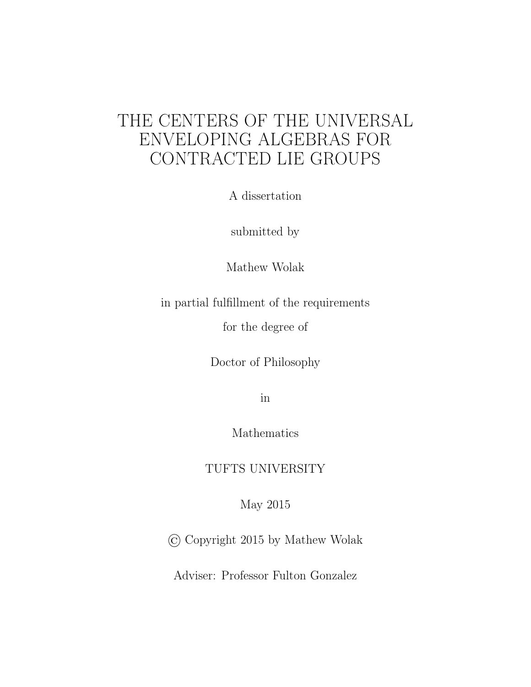## THE CENTERS OF THE UNIVERSAL ENVELOPING ALGEBRAS FOR CONTRACTED LIE GROUPS

A dissertation

submitted by

Mathew Wolak

in partial fulfillment of the requirements

for the degree of

Doctor of Philosophy

in

Mathematics

TUFTS UNIVERSITY

May 2015

© Copyright 2015 by Mathew Wolak

Adviser: Professor Fulton Gonzalez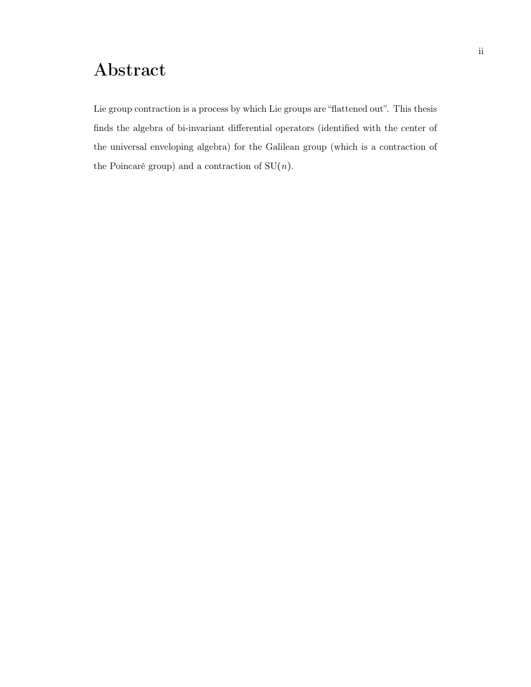# Abstract

Lie group contraction is a process by which Lie groups are "flattened out". This thesis finds the algebra of bi-invariant differential operators (identified with the center of the universal enveloping algebra) for the Galilean group (which is a contraction of the Poincaré group) and a contraction of  $SU(n)$ .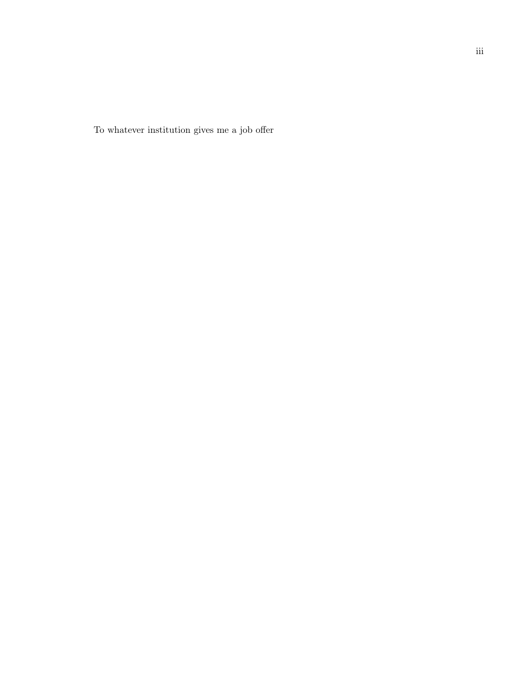To whatever institution gives me a job offer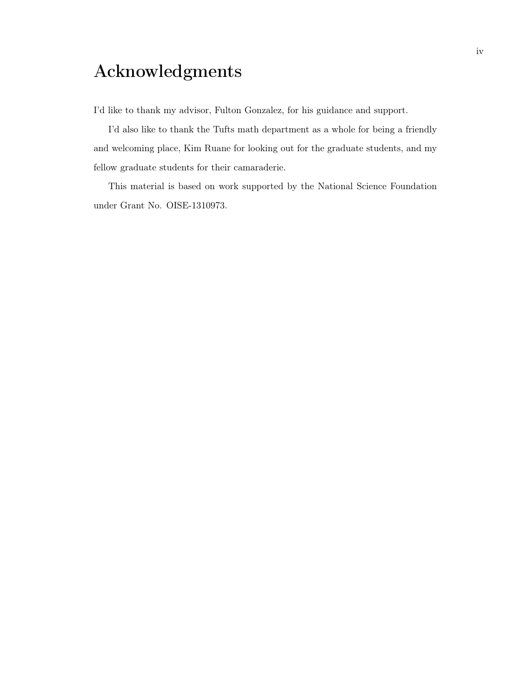# Acknowledgments

I'd like to thank my advisor, Fulton Gonzalez, for his guidance and support.

I'd also like to thank the Tufts math department as a whole for being a friendly and welcoming place, Kim Ruane for looking out for the graduate students, and my fellow graduate students for their camaraderie.

This material is based on work supported by the National Science Foundation under Grant No. OISE-1310973.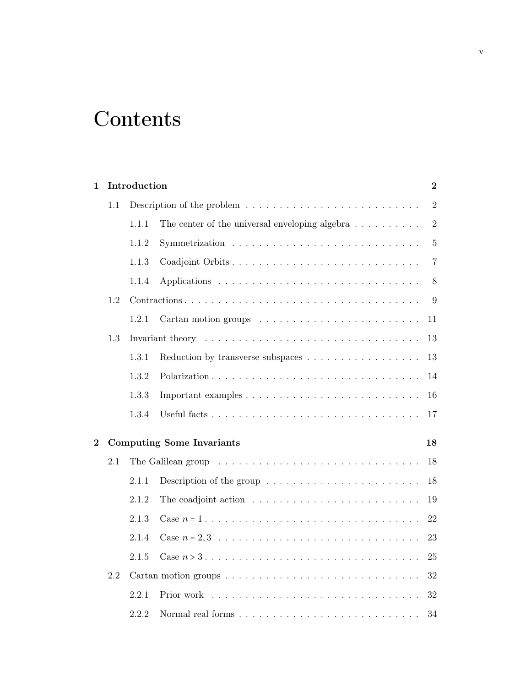# **Contents**

| 1              |     | Introduction |                                                                              | $\boldsymbol{2}$ |
|----------------|-----|--------------|------------------------------------------------------------------------------|------------------|
|                | 1.1 |              |                                                                              | $\overline{2}$   |
|                |     | 1.1.1        | The center of the universal enveloping algebra $\dots \dots \dots$           | $\overline{2}$   |
|                |     | 1.1.2        |                                                                              | $\overline{5}$   |
|                |     | 1.1.3        |                                                                              | $\overline{7}$   |
|                |     | 1.1.4        |                                                                              | 8                |
|                | 1.2 |              |                                                                              | 9                |
|                |     | 1.2.1        |                                                                              | 11               |
|                | 1.3 |              |                                                                              | 13               |
|                |     | 1.3.1        | Reduction by transverse subspaces                                            | 13               |
|                |     | 1.3.2        |                                                                              | 14               |
|                |     | 1.3.3        |                                                                              | 16               |
|                |     | 1.3.4        |                                                                              | 17               |
| $\overline{2}$ |     |              | <b>Computing Some Invariants</b>                                             | 18               |
|                | 2.1 |              |                                                                              | 18               |
|                |     | 2.1.1        | Description of the group $\dots \dots \dots \dots \dots \dots \dots \dots$   | 18               |
|                |     | 2.1.2        | The coadjoint action $\dots \dots \dots \dots \dots \dots \dots \dots \dots$ | 19               |
|                |     | 2.1.3        |                                                                              | 22               |
|                |     | 2.1.4        |                                                                              | 23               |
|                |     | 2.1.5        |                                                                              | 25               |
|                | 2.2 |              |                                                                              | 32               |
|                |     | 2.2.1        |                                                                              | 32               |
|                |     | 2.2.2        |                                                                              | 34               |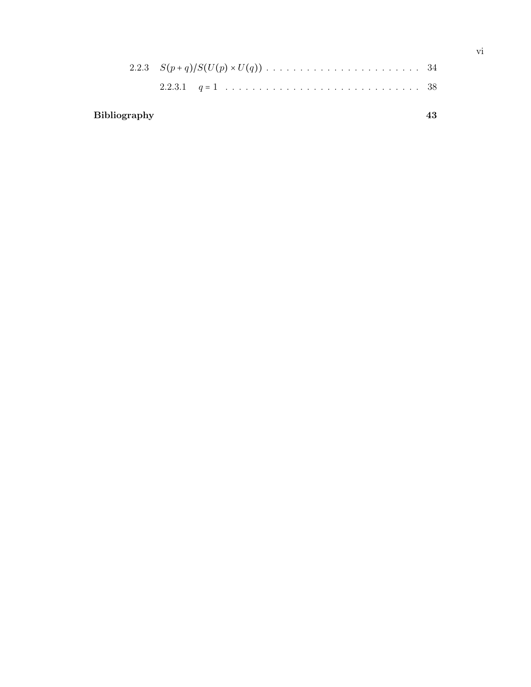## Bibliography [43](#page-48-0)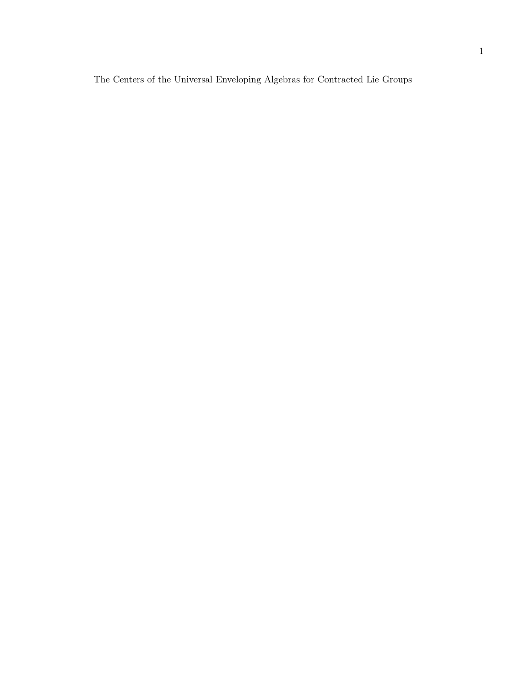The Centers of the Universal Enveloping Algebras for Contracted Lie Groups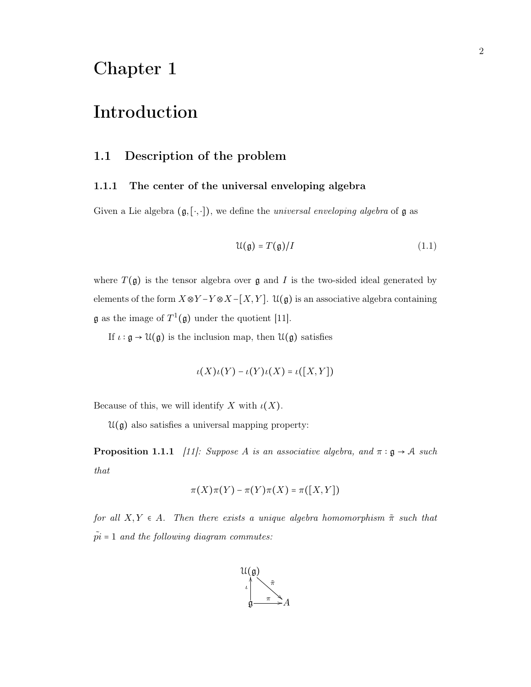## <span id="page-7-0"></span>Chapter 1

## Introduction

## <span id="page-7-1"></span>1.1 Description of the problem

#### <span id="page-7-2"></span>1.1.1 The center of the universal enveloping algebra

Given a Lie algebra  $(\mathfrak{g}, [\cdot, \cdot])$ , we define the *universal enveloping algebra* of  $\mathfrak{g}$  as

<span id="page-7-4"></span>
$$
\mathcal{U}(\mathfrak{g}) = T(\mathfrak{g})/I \tag{1.1}
$$

where  $T(\mathfrak{g})$  is the tensor algebra over  $\mathfrak g$  and  $I$  is the two-sided ideal generated by elements of the form  $X \otimes Y - Y \otimes X - [X, Y]$ .  $\mathfrak{U}(\mathfrak{g})$  is an associative algebra containing  $\mathfrak g$  as the image of  $T^1(\mathfrak g)$  under the quotient [\[11\]](#page-48-1).

If  $\iota:\mathfrak{g}\to\mathfrak{U}(\mathfrak{g})$  is the inclusion map, then  $\mathfrak{U}(\mathfrak{g})$  satisfies

$$
\iota(X)\iota(Y) - \iota(Y)\iota(X) = \iota([X,Y])
$$

Because of this, we will identify X with  $\iota(X)$ .

<span id="page-7-3"></span> $\mathfrak{U}(\mathfrak{g})$  also satisfies a universal mapping property:

**Proposition 1.1.1** [\[11\]](#page-48-1): Suppose A is an associative algebra, and  $\pi : \mathfrak{g} \to \mathcal{A}$  such that

$$
\pi(X)\pi(Y) - \pi(Y)\pi(X) = \pi([X,Y])
$$

for all  $X, Y \in A$ . Then there exists a unique algebra homomorphism  $\tilde{\pi}$  such that  $\tilde{pi} = 1$  and the following diagram commutes:

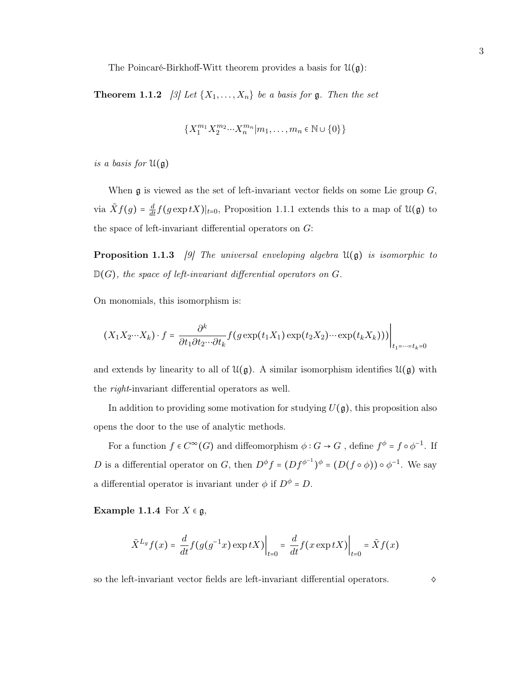The Poincaré-Birkhoff-Witt theorem provides a basis for  $\mathfrak{U}(\mathfrak{g})$ :

**Theorem 1.1.2** [\[3\]](#page-48-2) Let  $\{X_1, \ldots, X_n\}$  be a basis for **g**. Then the set

$$
\{X_1^{m_1}X_2^{m_2} \cdots X_n^{m_n}|m_1,\ldots,m_n \in \mathbb{N} \cup \{0\}\}
$$

is a basis for  $\mathfrak{U}(\mathfrak{g})$ 

When  $\mathfrak g$  is viewed as the set of left-invariant vector fields on some Lie group  $G$ , via  $\tilde{X}f(g) = \frac{d}{dt}f(g \exp tX)|_{t=0}$ , Proposition [1.1.1](#page-7-3) extends this to a map of  $\mathfrak{U}(\mathfrak{g})$  to the space of left-invariant differential operators on  $G$ :

**Proposition 1.1.3** [\[9\]](#page-48-3) The universal enveloping algebra  $\mathfrak{U}(\mathfrak{g})$  is isomorphic to  $\mathbb{D}(G)$ , the space of left-invariant differential operators on G.

On monomials, this isomorphism is:

$$
(X_1X_2\cdots X_k)\cdot f = \frac{\partial^k}{\partial t_1\partial t_2\cdots\partial t_k}f(g\exp(t_1X_1)\exp(t_2X_2)\cdots\exp(t_kX_k)))\Big|_{t_1=\cdots=t_k=0}
$$

and extends by linearity to all of  $\mathcal{U}(\mathfrak{g})$ . A similar isomorphism identifies  $\mathcal{U}(\mathfrak{g})$  with the right-invariant differential operators as well.

In addition to providing some motivation for studying  $U(\mathfrak{g})$ , this proposition also opens the door to the use of analytic methods.

For a function  $f \in C^{\infty}(G)$  and diffeomorphism  $\phi : G \to G$ , define  $f^{\phi} = f \circ \phi^{-1}$ . If D is a differential operator on G, then  $D^{\phi} f = (Df^{\phi^{-1}})^{\phi} = (D(f \circ \phi)) \circ \phi^{-1}$ . We say a differential operator is invariant under  $\phi$  if  $D^{\phi} = D$ .

Example 1.1.4 For  $X \in \mathfrak{g}$ ,

$$
\tilde{X}^{L_g} f(x) = \frac{d}{dt} f(g(g^{-1}x) \exp tX) \Big|_{t=0} = \frac{d}{dt} f(x \exp tX) \Big|_{t=0} = \tilde{X} f(x)
$$

so the left-invariant vector fields are left-invariant differential operators.  $\diamond$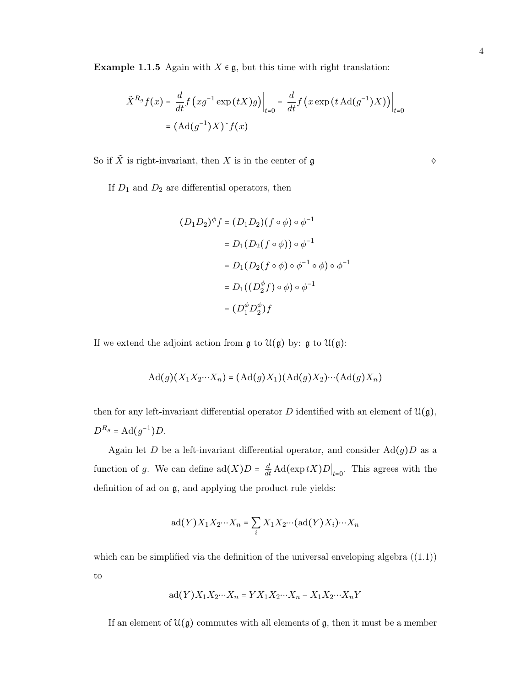Example 1.1.5 Again with  $X \in \mathfrak{g}$ , but this time with right translation:

$$
\tilde{X}^{R_g} f(x) = \frac{d}{dt} f\left(xg^{-1} \exp\left(tX\right)g\right)\Big|_{t=0} = \frac{d}{dt} f\left(x \exp\left(t \operatorname{Ad}(g^{-1})X\right)\right)\Big|_{t=0}
$$
\n
$$
= \left(\operatorname{Ad}(g^{-1})X\right)^\sim f(x)
$$

So if  $\tilde{X}$  is right-invariant, then X is in the center of  $\mathfrak g$   $\diamond$ 

If  $D_1$  and  $D_2$  are differential operators, then

$$
(D_1 D_2)^{\phi} f = (D_1 D_2) (f \circ \phi) \circ \phi^{-1}
$$
  
=  $D_1 (D_2 (f \circ \phi)) \circ \phi^{-1}$   
=  $D_1 (D_2 (f \circ \phi) \circ \phi^{-1} \circ \phi) \circ \phi^{-1}$   
=  $D_1 ((D_2^{\phi} f) \circ \phi) \circ \phi^{-1}$   
=  $(D_1^{\phi} D_2^{\phi}) f$ 

If we extend the adjoint action from  $\mathfrak g$  to  $\mathfrak{U}(\mathfrak g)$  by:  $\mathfrak g$  to  $\mathfrak{U}(\mathfrak g)$ :

$$
\mathrm{Ad}(g)(X_1X_2\cdots X_n) = (\mathrm{Ad}(g)X_1)(\mathrm{Ad}(g)X_2)\cdots(\mathrm{Ad}(g)X_n)
$$

then for any left-invariant differential operator D identified with an element of  $\mathfrak{U}(\mathfrak{g})$ ,  $D^{R_g} = \text{Ad}(g^{-1})D.$ 

Again let D be a left-invariant differential operator, and consider  $\text{Ad}(g)D$  as a function of g. We can define  $\text{ad}(X)D = \frac{d}{dt} \text{Ad}(\exp tX)D\big|_{t=0}$ . This agrees with the definition of ad on g, and applying the product rule yields:

$$
ad(Y)X_1X_2\cdots X_n = \sum_i X_1X_2\cdots (ad(Y)X_i)\cdots X_n
$$

which can be simplified via the definition of the universal enveloping algebra  $((1.1))$  $((1.1))$  $((1.1))$ to

$$
ad(Y)X_1X_2\cdots X_n = YX_1X_2\cdots X_n - X_1X_2\cdots X_nY
$$

If an element of  $\mathfrak{U}(\mathfrak{g})$  commutes with all elements of  $\mathfrak{g}$ , then it must be a member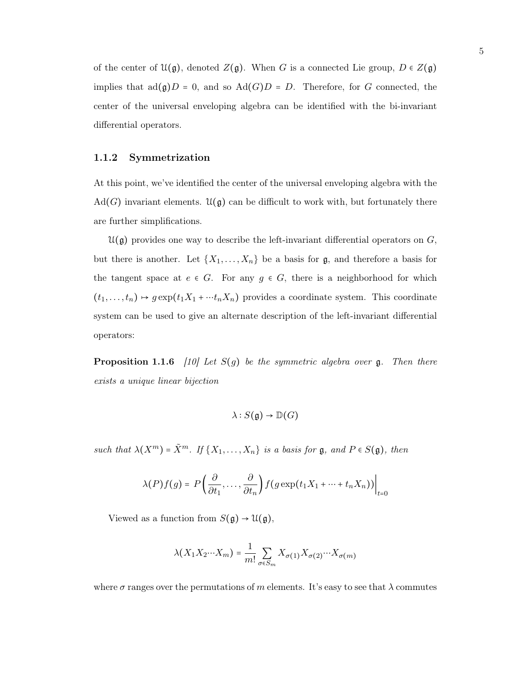of the center of  $\mathfrak{U}(\mathfrak{g})$ , denoted  $Z(\mathfrak{g})$ . When G is a connected Lie group,  $D \in Z(\mathfrak{g})$ implies that  $ad(g)D = 0$ , and so  $Ad(G)D = D$ . Therefore, for G connected, the center of the universal enveloping algebra can be identified with the bi-invariant differential operators.

#### <span id="page-10-0"></span>1.1.2 Symmetrization

At this point, we've identified the center of the universal enveloping algebra with the  $\text{Ad}(G)$  invariant elements.  $\mathfrak{U}(\mathfrak{g})$  can be difficult to work with, but fortunately there are further simplifications.

 $\mathfrak{U}(\mathfrak{g})$  provides one way to describe the left-invariant differential operators on  $G$ , but there is another. Let  $\{X_1, \ldots, X_n\}$  be a basis for  $\mathfrak{g}$ , and therefore a basis for the tangent space at  $e \in G$ . For any  $g \in G$ , there is a neighborhood for which  $(t_1, \ldots, t_n) \mapsto g \exp(t_1 X_1 + \cdots + n X_n)$  provides a coordinate system. This coordinate system can be used to give an alternate description of the left-invariant differential operators:

**Proposition 1.1.6** [\[10\]](#page-48-4) Let  $S(g)$  be the symmetric algebra over g. Then there exists a unique linear bijection

$$
\lambda: S(\mathfrak{g}) \to \mathbb{D}(G)
$$

such that  $\lambda(X^m) = \tilde{X}^m$ . If  $\{X_1, \ldots, X_n\}$  is a basis for  $\mathfrak{g}$ , and  $P \in S(\mathfrak{g})$ , then

$$
\lambda(P)f(g) = P\left(\frac{\partial}{\partial t_1}, \dots, \frac{\partial}{\partial t_n}\right) f(g \exp(t_1 X_1 + \dots + t_n X_n))\Big|_{t=0}
$$

Viewed as a function from  $S(\mathfrak{g}) \to \mathfrak{U}(\mathfrak{g})$ ,

$$
\lambda(X_1 X_2 \cdots X_m) = \frac{1}{m!} \sum_{\sigma \in S_m} X_{\sigma(1)} X_{\sigma(2)} \cdots X_{\sigma(m)}
$$

where  $\sigma$  ranges over the permutations of m elements. It's easy to see that  $\lambda$  commutes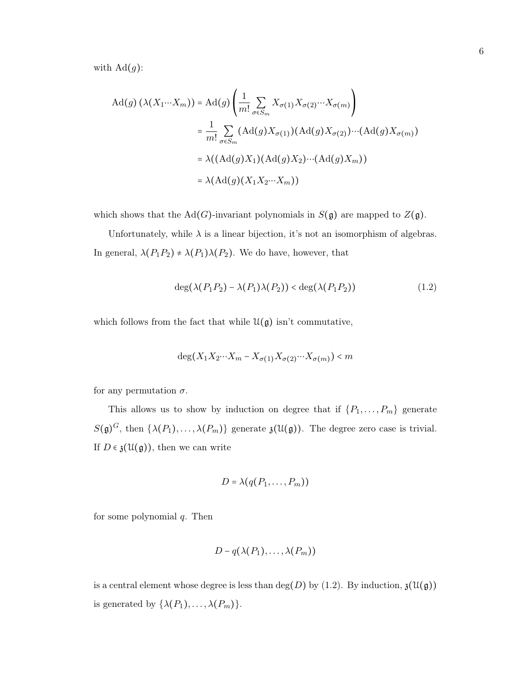with  $\mathrm{Ad}(g)$ :

$$
Ad(g) \left(\lambda(X_1 \cdots X_m)\right) = Ad(g) \left(\frac{1}{m!} \sum_{\sigma \in S_m} X_{\sigma(1)} X_{\sigma(2)} \cdots X_{\sigma(m)}\right)
$$
  

$$
= \frac{1}{m!} \sum_{\sigma \in S_m} (Ad(g) X_{\sigma(1)}) (Ad(g) X_{\sigma(2)}) \cdots (Ad(g) X_{\sigma(m)})
$$
  

$$
= \lambda((Ad(g) X_1) (Ad(g) X_2) \cdots (Ad(g) X_m))
$$
  

$$
= \lambda(Ad(g) (X_1 X_2 \cdots X_m))
$$

which shows that the Ad(G)-invariant polynomials in  $S(\mathfrak{g})$  are mapped to  $Z(\mathfrak{g})$ .

Unfortunately, while  $\lambda$  is a linear bijection, it's not an isomorphism of algebras. In general,  $\lambda(P_1P_2)\neq \lambda(P_1)\lambda(P_2).$  We do have, however, that

<span id="page-11-0"></span>
$$
\deg(\lambda(P_1P_2) - \lambda(P_1)\lambda(P_2)) < \deg(\lambda(P_1P_2)) \tag{1.2}
$$

which follows from the fact that while  $\mathfrak{U}(\mathfrak{g})$  isn't commutative,

$$
\deg(X_1 X_2 \cdots X_m - X_{\sigma(1)} X_{\sigma(2)} \cdots X_{\sigma(m)}) < m
$$

for any permutation  $\sigma$ .

This allows us to show by induction on degree that if  $\{P_1, \ldots, P_m\}$  generate  $S(\mathfrak{g})^G$ , then  $\{\lambda(P_1), \ldots, \lambda(P_m)\}\$  generate  $\mathfrak{z}(\mathfrak{U}(\mathfrak{g}))$ . The degree zero case is trivial. If  $D \in \mathfrak{z}(\mathfrak{U}(\mathfrak{g}))$ , then we can write

$$
D = \lambda(q(P_1,\ldots,P_m))
$$

for some polynomial  $q$ . Then

$$
D-q(\lambda(P_1),\ldots,\lambda(P_m))
$$

is a central element whose degree is less than  $deg(D)$  by [\(1.2\)](#page-11-0). By induction,  $\mathfrak{z}(\mathfrak{U}(\mathfrak{g}))$ is generated by  $\{\lambda(P_1), \ldots, \lambda(P_m)\}.$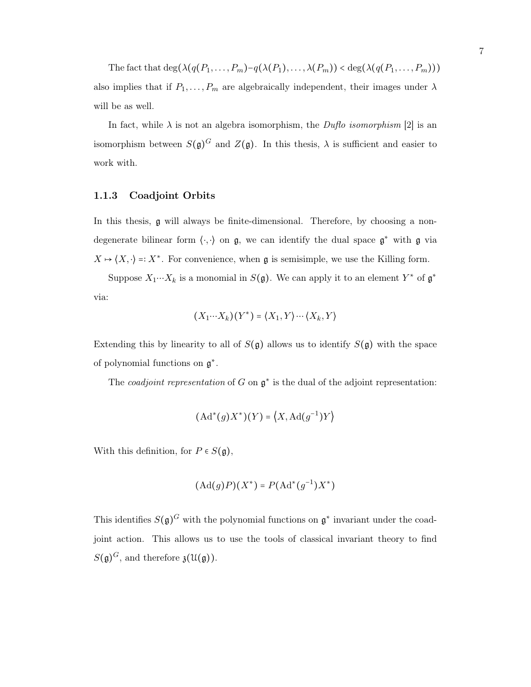The fact that  $\deg(\lambda(q(P_1,\ldots,P_m)-q(\lambda(P_1),\ldots,\lambda(P_m)) < \deg(\lambda(q(P_1,\ldots,P_m)))$ also implies that if  $P_1, \ldots, P_m$  are algebraically independent, their images under  $\lambda$ will be as well.

In fact, while  $\lambda$  is not an algebra isomorphism, the *Duflo isomorphism* [\[2\]](#page-48-5) is an isomorphism between  $S(\mathfrak{g})^G$  and  $Z(\mathfrak{g})$ . In this thesis,  $\lambda$  is sufficient and easier to work with.

#### <span id="page-12-0"></span>1.1.3 Coadjoint Orbits

In this thesis, g will always be finite-dimensional. Therefore, by choosing a nondegenerate bilinear form  $\langle \cdot, \cdot \rangle$  on  $\mathfrak{g}$ , we can identify the dual space  $\mathfrak{g}^*$  with  $\mathfrak{g}$  via  $X \mapsto \langle X, \cdot \rangle =: X^*$ . For convenience, when g is semisimple, we use the Killing form.

Suppose  $X_1 \cdots X_k$  is a monomial in  $S(\mathfrak{g})$ . We can apply it to an element  $Y^*$  of  $\mathfrak{g}^*$ via:

$$
(X_1 \cdots X_k)(Y^*) = \langle X_1, Y \rangle \cdots \langle X_k, Y \rangle
$$

Extending this by linearity to all of  $S(\mathfrak{g})$  allows us to identify  $S(\mathfrak{g})$  with the space of polynomial functions on  $\mathfrak{g}^*$ .

The *coadjoint representation* of G on  $\mathfrak{g}^*$  is the dual of the adjoint representation:

$$
(\mathrm{Ad}^*(g)X^*)(Y) = \langle X, \mathrm{Ad}(g^{-1})Y \rangle
$$

With this definition, for  $P \in S(\mathfrak{g})$ ,

$$
(\mathrm{Ad}(g)P)(X^*) = P(\mathrm{Ad}^*(g^{-1})X^*)
$$

This identifies  $S(\mathfrak{g})^G$  with the polynomial functions on  $\mathfrak{g}^*$  invariant under the coadjoint action. This allows us to use the tools of classical invariant theory to find  $S(\mathfrak{g})^G$ , and therefore  $\mathfrak{z}(\mathfrak{U}(\mathfrak{g}))$ .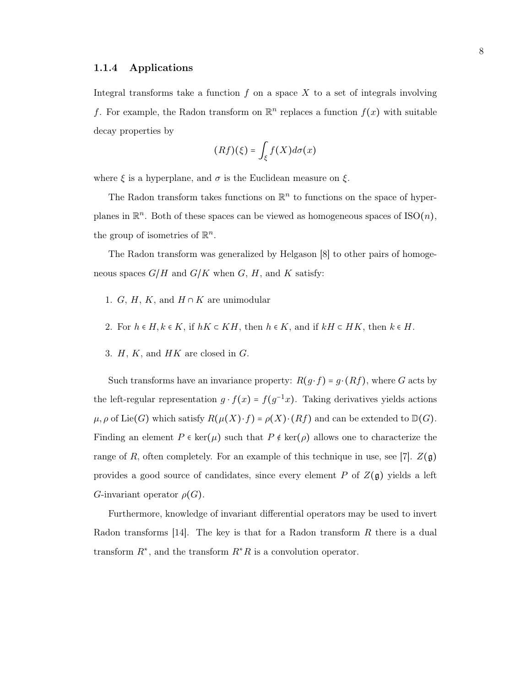#### <span id="page-13-0"></span>1.1.4 Applications

Integral transforms take a function  $f$  on a space  $X$  to a set of integrals involving f. For example, the Radon transform on  $\mathbb{R}^n$  replaces a function  $f(x)$  with suitable decay properties by

$$
(Rf)(\xi) = \int_{\xi} f(X)d\sigma(x)
$$

where  $\xi$  is a hyperplane, and  $\sigma$  is the Euclidean measure on  $\xi$ .

The Radon transform takes functions on  $\mathbb{R}^n$  to functions on the space of hyperplanes in  $\mathbb{R}^n$ . Both of these spaces can be viewed as homogeneous spaces of  $ISO(n)$ , the group of isometries of  $\mathbb{R}^n$ .

The Radon transform was generalized by Helgason [\[8\]](#page-48-6) to other pairs of homogeneous spaces  $G/H$  and  $G/K$  when  $G, H$ , and  $K$  satisfy:

- 1. G, H, K, and  $H \cap K$  are unimodular
- 2. For  $h \in H, k \in K$ , if  $hK \subset KH$ , then  $h \in K$ , and if  $kH \subset HK$ , then  $k \in H$ .
- 3.  $H, K$ , and  $HK$  are closed in  $G$ .

Such transforms have an invariance property:  $R(g \cdot f) = g \cdot (Rf)$ , where G acts by the left-regular representation  $g \cdot f(x) = f(g^{-1}x)$ . Taking derivatives yields actions  $\mu, \rho$  of Lie(G) which satisfy  $R(\mu(X) \cdot f) = \rho(X) \cdot (Rf)$  and can be extended to  $D(G)$ . Finding an element  $P \in \text{ker}(\mu)$  such that  $P \notin \text{ker}(\rho)$  allows one to characterize the range of R, often completely. For an example of this technique in use, see [\[7\]](#page-48-7).  $Z(\mathfrak{g})$ provides a good source of candidates, since every element P of  $Z(\mathfrak{g})$  yields a left G-invariant operator  $\rho(G)$ .

Furthermore, knowledge of invariant differential operators may be used to invert Radon transforms [\[14\]](#page-48-8). The key is that for a Radon transform  $R$  there is a dual transform  $R^*$ , and the transform  $R^*R$  is a convolution operator.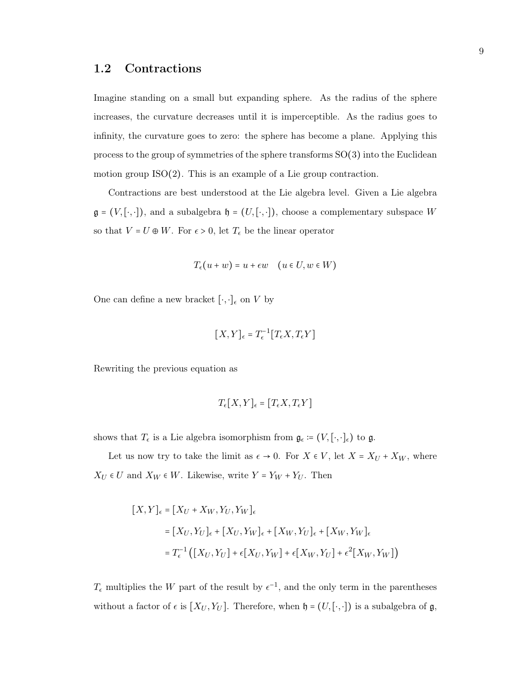### <span id="page-14-0"></span>1.2 Contractions

Imagine standing on a small but expanding sphere. As the radius of the sphere increases, the curvature decreases until it is imperceptible. As the radius goes to infinity, the curvature goes to zero: the sphere has become a plane. Applying this process to the group of symmetries of the sphere transforms SO(3) into the Euclidean motion group ISO(2). This is an example of a Lie group contraction.

Contractions are best understood at the Lie algebra level. Given a Lie algebra  $\mathfrak{g} = (V, [\cdot, \cdot])$ , and a subalgebra  $\mathfrak{h} = (U, [\cdot, \cdot])$ , choose a complementary subspace W so that  $V = U \oplus W.$  For  $\epsilon > 0,$  let  $T_\epsilon$  be the linear operator

$$
T_{\epsilon}(u+w) = u + \epsilon w \quad (u \in U, w \in W)
$$

One can define a new bracket  $[\cdot,\cdot]_\epsilon$  on  $V$  by

$$
[X,Y]_{\epsilon} = T_{\epsilon}^{-1}[T_{\epsilon}X,T_{\epsilon}Y]
$$

Rewriting the previous equation as

$$
T_{\epsilon}[X,Y]_{\epsilon} = [T_{\epsilon}X,T_{\epsilon}Y]
$$

shows that  $T_{\epsilon}$  is a Lie algebra isomorphism from  $\mathfrak{g}_{\epsilon} := (V, [\cdot, \cdot]_{\epsilon})$  to  $\mathfrak{g}$ .

Let us now try to take the limit as  $\epsilon \to 0$ . For  $X \in V$ , let  $X = X_U + X_W$ , where  $X_U \in U$  and  $X_W \in W.$  Likewise, write  $Y = Y_W + Y_U.$  Then

$$
[X, Y]_{\epsilon} = [X_U + X_W, Y_U, Y_W]_{\epsilon}
$$
  

$$
= [X_U, Y_U]_{\epsilon} + [X_U, Y_W]_{\epsilon} + [X_W, Y_U]_{\epsilon} + [X_W, Y_W]_{\epsilon}
$$
  

$$
= T_{\epsilon}^{-1} ([X_U, Y_U] + \epsilon [X_U, Y_W] + \epsilon [X_W, Y_U] + \epsilon^2 [X_W, Y_W])
$$

 $T_{\epsilon}$  multiplies the W part of the result by  $\epsilon^{-1}$ , and the only term in the parentheses without a factor of  $\epsilon$  is  $[X_U, Y_U]$ . Therefore, when  $\mathfrak{h} = (U, [\cdot, \cdot])$  is a subalgebra of  $\mathfrak{g}$ ,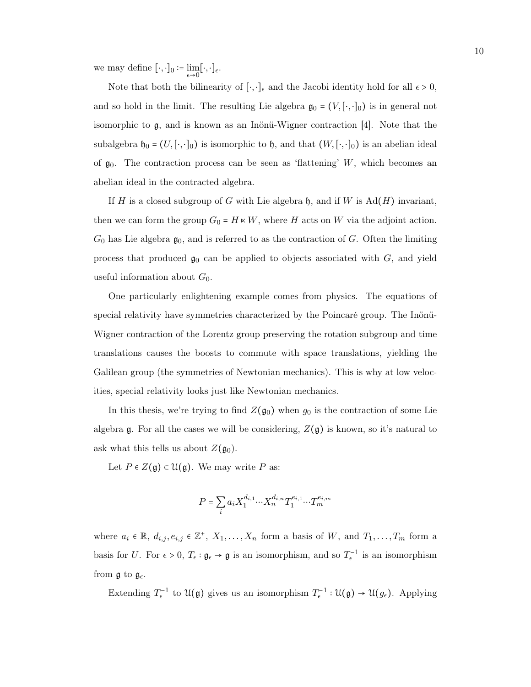we may define  $[\cdot, \cdot]_0 := \lim_{\epsilon \to 0} [\cdot, \cdot]_{\epsilon}$ .

Note that both the bilinearity of  $[\cdot, \cdot]_{\epsilon}$  and the Jacobi identity hold for all  $\epsilon > 0$ , and so hold in the limit. The resulting Lie algebra  $\mathfrak{g}_0 = (V, [\cdot, \cdot]_0)$  is in general not isomorphic to g, and is known as an Inönü-Wigner contraction [\[4\]](#page-48-9). Note that the subalgebra  $\mathfrak{h}_0 = (U, [\cdot, \cdot]_0)$  is isomorphic to  $\mathfrak{h}$ , and that  $(W, [\cdot, \cdot]_0)$  is an abelian ideal of  $\mathfrak{g}_0$ . The contraction process can be seen as 'flattening' W, which becomes an abelian ideal in the contracted algebra.

If H is a closed subgroup of G with Lie algebra  $\mathfrak{h}$ , and if W is  $Ad(H)$  invariant, then we can form the group  $G_0 = H \times W$ , where H acts on W via the adjoint action.  $G_0$  has Lie algebra  $\mathfrak{g}_0$ , and is referred to as the contraction of G. Often the limiting process that produced  $\mathfrak{g}_0$  can be applied to objects associated with  $G$ , and yield useful information about  $G_0$ .

One particularly enlightening example comes from physics. The equations of special relativity have symmetries characterized by the Poincaré group. The Inönü-Wigner contraction of the Lorentz group preserving the rotation subgroup and time translations causes the boosts to commute with space translations, yielding the Galilean group (the symmetries of Newtonian mechanics). This is why at low velocities, special relativity looks just like Newtonian mechanics.

In this thesis, we're trying to find  $Z(\mathfrak{g}_0)$  when  $g_0$  is the contraction of some Lie algebra  $\mathfrak g$ . For all the cases we will be considering,  $Z(\mathfrak g)$  is known, so it's natural to ask what this tells us about  $Z(\mathfrak{g}_0)$ .

Let  $P \in Z(\mathfrak{g}) \subset \mathfrak{U}(\mathfrak{g})$ . We may write P as:

$$
P = \sum_{i} a_i X_1^{d_{i,1}} \cdots X_n^{d_{i,n}} T_1^{e_{i,1}} \cdots T_m^{e_{i,m}}
$$

where  $a_i \in \mathbb{R}, d_{i,j}, e_{i,j} \in \mathbb{Z}^+, X_1, \ldots, X_n$  form a basis of W, and  $T_1, \ldots, T_m$  form a basis for U. For  $\epsilon > 0$ ,  $T_{\epsilon} : \mathfrak{g}_{\epsilon} \to \mathfrak{g}$  is an isomorphism, and so  $T_{\epsilon}^{-1}$  is an isomorphism from  $\mathfrak{g}$  to  $\mathfrak{g}_{\epsilon}$ .

Extending  $T_{\epsilon}^{-1}$  to  $\mathfrak{U}(\mathfrak{g})$  gives us an isomorphism  $T_{\epsilon}^{-1}:\mathfrak{U}(\mathfrak{g})\to\mathfrak{U}(g_{\epsilon})$ . Applying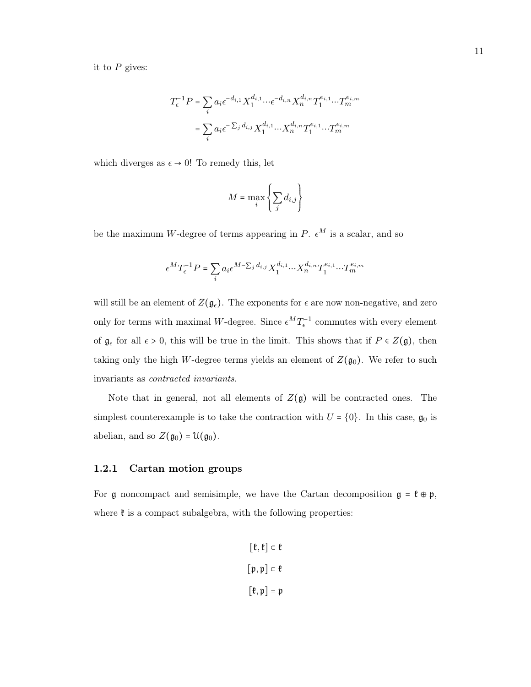it to  $P$  gives:

$$
T_{\epsilon}^{-1}P = \sum_{i} a_i \epsilon^{-d_{i,1}} X_1^{d_{i,1}} \cdots \epsilon^{-d_{i,n}} X_n^{d_{i,n}} T_1^{e_{i,1}} \cdots T_m^{e_{i,m}}
$$

$$
= \sum_{i} a_i \epsilon^{-\sum_j d_{i,j}} X_1^{d_{i,1}} \cdots X_n^{d_{i,n}} T_1^{e_{i,1}} \cdots T_m^{e_{i,m}}
$$

which diverges as  $\epsilon \to 0$ ! To remedy this, let

$$
M = \max_{i} \left\{ \sum_{j} d_{i,j} \right\}
$$

be the maximum W-degree of terms appearing in P.  $\epsilon^M$  is a scalar, and so

$$
\epsilon^M T_{\epsilon}^{-1} P = \sum_i a_i \epsilon^{M-\sum_j d_{i,j}} X_1^{d_{i,1}} \cdots X_n^{d_{i,n}} T_1^{e_{i,1}} \cdots T_m^{e_{i,m}}
$$

will still be an element of  $Z(\mathfrak{g}_{\epsilon})$ . The exponents for  $\epsilon$  are now non-negative, and zero only for terms with maximal W-degree. Since  $\epsilon^MT_{\epsilon}^{-1}$  commutes with every element of  $\mathfrak{g}_{\epsilon}$  for all  $\epsilon > 0$ , this will be true in the limit. This shows that if  $P \in Z(\mathfrak{g})$ , then taking only the high W-degree terms yields an element of  $Z(\mathfrak{g}_0)$ . We refer to such invariants as contracted invariants.

Note that in general, not all elements of  $Z(\mathfrak{g})$  will be contracted ones. The simplest counterexample is to take the contraction with  $U = \{0\}$ . In this case,  $\mathfrak{g}_0$  is abelian, and so  $Z(\mathfrak{g}_0) = \mathfrak{U}(\mathfrak{g}_0)$ .

#### <span id="page-16-0"></span>1.2.1 Cartan motion groups

For g noncompact and semisimple, we have the Cartan decomposition  $g = \mathfrak{k} \oplus \mathfrak{p}$ , where  $\mathfrak k$  is a compact subalgebra, with the following properties:

$$
[\mathfrak{k}, \mathfrak{k}] \subset \mathfrak{k}
$$

$$
[\mathfrak{p}, \mathfrak{p}] \subset \mathfrak{k}
$$

$$
[\mathfrak{k}, \mathfrak{p}] = \mathfrak{p}
$$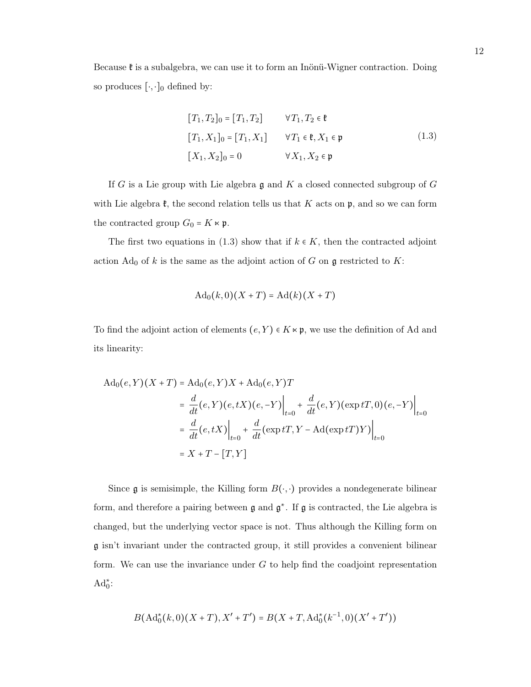Because  $\mathfrak k$  is a subalgebra, we can use it to form an Inönü-Wigner contraction. Doing so produces  $[\cdot, \cdot]_0$  defined by:

<span id="page-17-0"></span>
$$
[T_1, T_2]_0 = [T_1, T_2] \qquad \forall T_1, T_2 \in \mathfrak{k}
$$
  

$$
[T_1, X_1]_0 = [T_1, X_1] \qquad \forall T_1 \in \mathfrak{k}, X_1 \in \mathfrak{p}
$$
  

$$
[X_1, X_2]_0 = 0 \qquad \forall X_1, X_2 \in \mathfrak{p}
$$
 (1.3)

If G is a Lie group with Lie algebra  $\mathfrak g$  and K a closed connected subgroup of G with Lie algebra  $\mathfrak{k}$ , the second relation tells us that K acts on  $\mathfrak{p}$ , and so we can form the contracted group  $G_0 = K \times \mathfrak{p}$ .

The first two equations in [\(1.3\)](#page-17-0) show that if  $k \in K$ , then the contracted adjoint action  $\text{Ad}_0$  of k is the same as the adjoint action of G on g restricted to K:

$$
\mathrm{Ad}_0(k,0)(X+T) = \mathrm{Ad}(k)(X+T)
$$

To find the adjoint action of elements  $(e, Y) \in K \times \mathfrak{p}$ , we use the definition of Ad and its linearity:

$$
Ad_0(e, Y)(X + T) = Ad_0(e, Y)X + Ad_0(e, Y)T
$$
  
=  $\frac{d}{dt}(e, Y)(e, tX)(e, -Y)\Big|_{t=0} + \frac{d}{dt}(e, Y)(\exp tT, 0)(e, -Y)\Big|_{t=0}$   
=  $\frac{d}{dt}(e, tX)\Big|_{t=0} + \frac{d}{dt}(\exp tT, Y - Ad(\exp tT)Y)\Big|_{t=0}$   
=  $X + T - [T, Y]$ 

Since  $\mathfrak g$  is semisimple, the Killing form  $B(\cdot, \cdot)$  provides a nondegenerate bilinear form, and therefore a pairing between  $\mathfrak g$  and  $\mathfrak g^*$ . If  $\mathfrak g$  is contracted, the Lie algebra is changed, but the underlying vector space is not. Thus although the Killing form on g isn't invariant under the contracted group, it still provides a convenient bilinear form. We can use the invariance under  $G$  to help find the coadjoint representation  $\mathrm{Ad}_0^*$ :

$$
B(\mathrm{Ad}_0^*(k,0)(X+T),X'+T') = B(X+T,\mathrm{Ad}_0^*(k^{-1},0)(X'+T'))
$$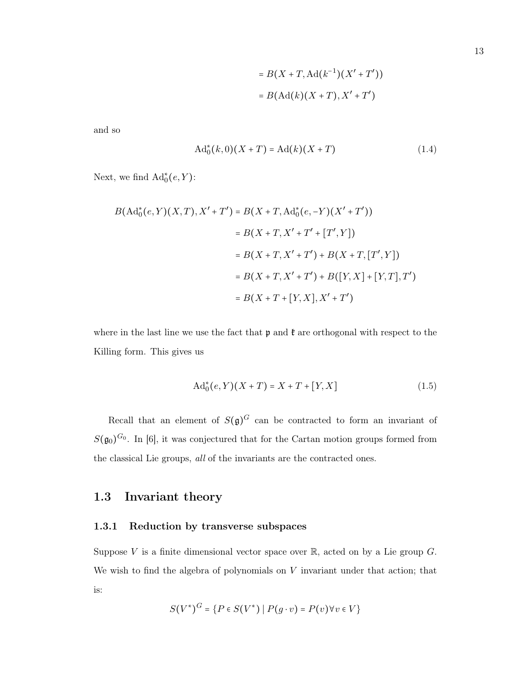$$
= B(X+T, \operatorname{Ad}(k^{-1})(X'+T'))
$$

$$
= B(\operatorname{Ad}(k)(X+T), X'+T')
$$

<span id="page-18-3"></span>and so

$$
Ad_0^*(k,0)(X+T) = Ad(k)(X+T)
$$
\n(1.4)

Next, we find  $\operatorname{Ad}_0^*(e,Y)$ :

$$
B(\text{Ad}^*_0(e, Y)(X, T), X' + T') = B(X + T, \text{Ad}^*_0(e, -Y)(X' + T'))
$$
  
=  $B(X + T, X' + T' + [T', Y])$   
=  $B(X + T, X' + T') + B(X + T, [T', Y])$   
=  $B(X + T, X' + T') + B([Y, X] + [Y, T], T')$   
=  $B(X + T + [Y, X], X' + T')$ 

where in the last line we use the fact that  $\mathfrak p$  and  $\mathfrak k$  are orthogonal with respect to the Killing form. This gives us

<span id="page-18-2"></span>
$$
Ad_0^*(e, Y)(X+T) = X + T + [Y, X]
$$
\n(1.5)

Recall that an element of  $S(\mathfrak{g})^G$  can be contracted to form an invariant of  $S(\mathfrak{g}_0)^{G_0}$ . In [\[6\]](#page-48-10), it was conjectured that for the Cartan motion groups formed from the classical Lie groups, all of the invariants are the contracted ones.

### <span id="page-18-0"></span>1.3 Invariant theory

#### <span id="page-18-1"></span>1.3.1 Reduction by transverse subspaces

Suppose V is a finite dimensional vector space over  $\mathbb{R}$ , acted on by a Lie group G. We wish to find the algebra of polynomials on  $V$  invariant under that action; that is:

$$
S(V^*)^G = \{ P \in S(V^*) \mid P(g \cdot v) = P(v) \forall v \in V \}
$$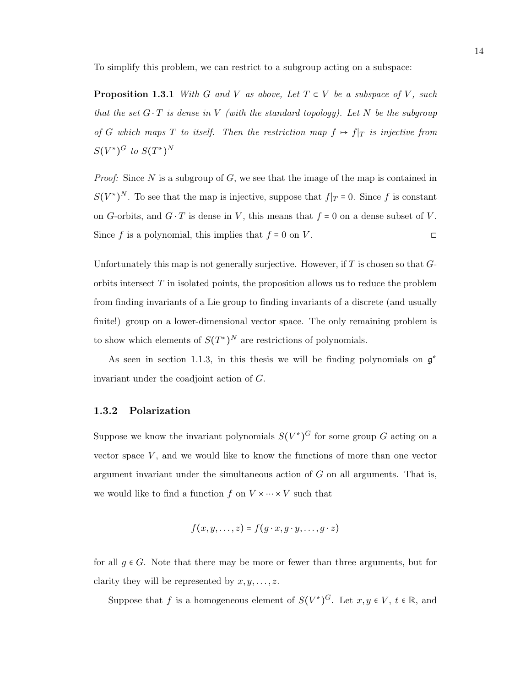<span id="page-19-1"></span>To simplify this problem, we can restrict to a subgroup acting on a subspace:

**Proposition 1.3.1** With G and V as above, Let  $T \subset V$  be a subspace of V, such that the set  $G \cdot T$  is dense in V (with the standard topology). Let N be the subgroup of G which maps T to itself. Then the restriction map  $f \mapsto f|_{T}$  is injective from  $S(V^{\ast})^G$  to  $S(T^{\ast})^N$ 

*Proof:* Since  $N$  is a subgroup of  $G$ , we see that the image of the map is contained in  $S(V^*)^N$ . To see that the map is injective, suppose that  $f|_T \equiv 0$ . Since f is constant on G-orbits, and  $G \cdot T$  is dense in V, this means that  $f = 0$  on a dense subset of V. Since f is a polynomial, this implies that  $f \equiv 0$  on V.

Unfortunately this map is not generally surjective. However, if  $T$  is chosen so that  $G$ orbits intersect  $T$  in isolated points, the proposition allows us to reduce the problem from finding invariants of a Lie group to finding invariants of a discrete (and usually finite!) group on a lower-dimensional vector space. The only remaining problem is to show which elements of  $S(T^*)^N$  are restrictions of polynomials.

As seen in section [1.1.3,](#page-12-0) in this thesis we will be finding polynomials on  $\mathfrak{g}^*$ invariant under the coadjoint action of G.

#### <span id="page-19-0"></span>1.3.2 Polarization

Suppose we know the invariant polynomials  $S(V^*)^G$  for some group G acting on a vector space  $V$ , and we would like to know the functions of more than one vector argument invariant under the simultaneous action of  $G$  on all arguments. That is, we would like to find a function  $f$  on  $V \times \cdots \times V$  such that

$$
f(x,y,\ldots,z)=f(g\cdot x,g\cdot y,\ldots,g\cdot z)
$$

for all  $g \in G$ . Note that there may be more or fewer than three arguments, but for clarity they will be represented by  $x, y, \ldots, z$ .

Suppose that f is a homogeneous element of  $S(V^*)^G$ . Let  $x, y \in V$ ,  $t \in \mathbb{R}$ , and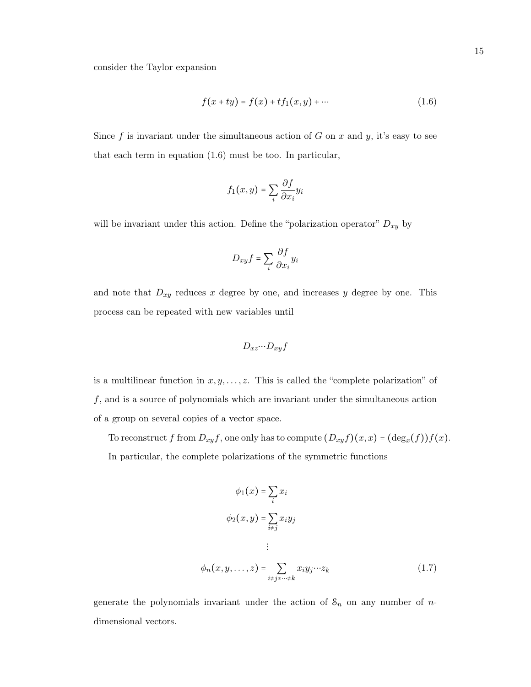<span id="page-20-0"></span>
$$
f(x + ty) = f(x) + tf_1(x, y) + \cdots
$$
 (1.6)

Since  $f$  is invariant under the simultaneous action of  $G$  on  $x$  and  $y$ , it's easy to see that each term in equation [\(1.6\)](#page-20-0) must be too. In particular,

$$
f_1(x,y) = \sum_i \frac{\partial f}{\partial x_i} y_i
$$

will be invariant under this action. Define the "polarization operator"  $D_{xy}$  by

$$
D_{xy}f = \sum_{i} \frac{\partial f}{\partial x_i} y_i
$$

and note that  $D_{xy}$  reduces x degree by one, and increases y degree by one. This process can be repeated with new variables until

$$
D_{xz}\cdots D_{xy}f
$$

is a multilinear function in  $x, y, \ldots, z$ . This is called the "complete polarization" of f, and is a source of polynomials which are invariant under the simultaneous action of a group on several copies of a vector space.

To reconstruct f from  $D_{xy}f$ , one only has to compute  $(D_{xy}f)(x,x) = (\deg_x(f))f(x)$ . In particular, the complete polarizations of the symmetric functions

$$
\phi_1(x) = \sum_i x_i
$$
  

$$
\phi_2(x, y) = \sum_{i \neq j} x_i y_j
$$
  

$$
\vdots
$$
  

$$
\phi_n(x, y, \dots, z) = \sum_{i \neq j \neq \dots \neq k} x_i y_j \dots z_k
$$
 (1.7)

generate the polynomials invariant under the action of  $S_n$  on any number of ndimensional vectors.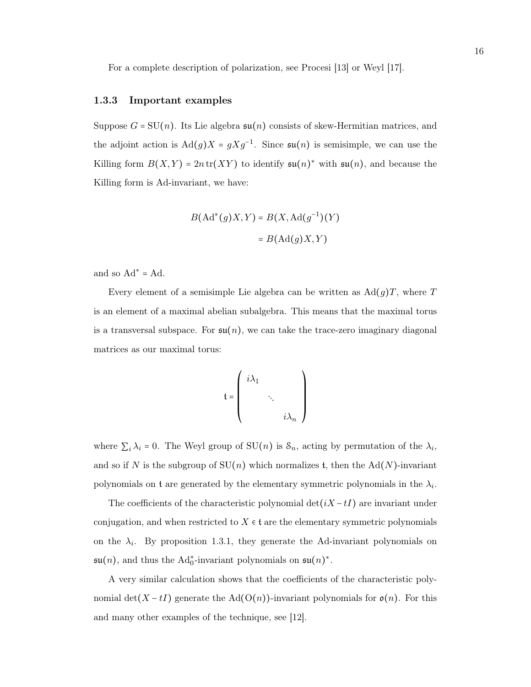For a complete description of polarization, see Procesi [\[13\]](#page-48-11) or Weyl [\[17\]](#page-48-12).

#### <span id="page-21-0"></span>1.3.3 Important examples

Suppose  $G = SU(n)$ . Its Lie algebra  $su(n)$  consists of skew-Hermitian matrices, and the adjoint action is  $\text{Ad}(g)X = gXg^{-1}$ . Since  $\mathfrak{su}(n)$  is semisimple, we can use the Killing form  $B(X,Y) = 2n \text{tr}(XY)$  to identify  $\mathfrak{su}(n)^*$  with  $\mathfrak{su}(n)$ , and because the Killing form is Ad-invariant, we have:

$$
B(\text{Ad}^*(g)X, Y) = B(X, \text{Ad}(g^{-1})(Y)
$$

$$
= B(\text{Ad}(g)X, Y)
$$

and so  $Ad^* = Ad$ .

Every element of a semisimple Lie algebra can be written as  $\text{Ad}(g)T$ , where T is an element of a maximal abelian subalgebra. This means that the maximal torus is a transversal subspace. For  $\mathfrak{su}(n)$ , we can take the trace-zero imaginary diagonal matrices as our maximal torus:

$$
\mathfrak{t} = \left( \begin{array}{ccc} i\lambda_1 & & \\ & \ddots & \\ & & i\lambda_n \end{array} \right)
$$

where  $\sum_i \lambda_i = 0$ . The Weyl group of SU(n) is  $\mathcal{S}_n$ , acting by permutation of the  $\lambda_i$ , and so if N is the subgroup of  $SU(n)$  which normalizes t, then the Ad(N)-invariant polynomials on  $t$  are generated by the elementary symmetric polynomials in the  $\lambda_i$ .

The coefficients of the characteristic polynomial  $\det(iX - tI)$  are invariant under conjugation, and when restricted to  $X \in \mathfrak{t}$  are the elementary symmetric polynomials on the  $\lambda_i$ . By proposition [1.3.1,](#page-19-1) they generate the Ad-invariant polynomials on  $\mathfrak{su}(n)$ , and thus the Ad<sub>0</sub><sup>\*</sup>-invariant polynomials on  $\mathfrak{su}(n)^*$ .

A very similar calculation shows that the coefficients of the characteristic polynomial det(X − tI) generate the Ad(O(n))-invariant polynomials for  $\mathfrak{o}(n)$ . For this and many other examples of the technique, see [\[12\]](#page-48-13).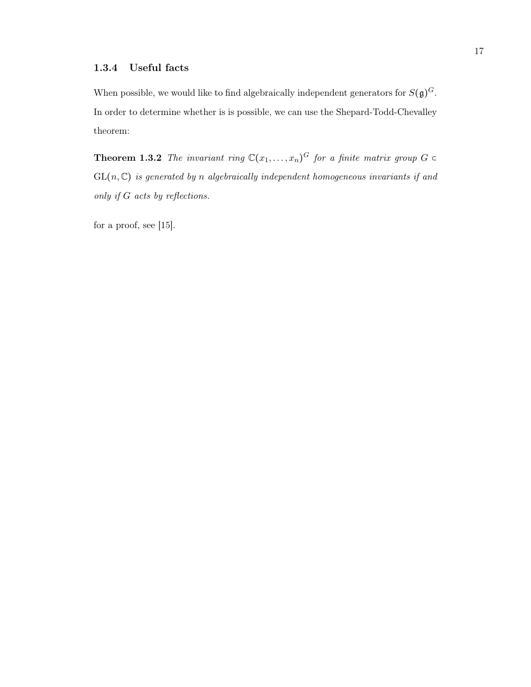<span id="page-22-0"></span>When possible, we would like to find algebraically independent generators for  $S(\mathfrak{g})^G$ . In order to determine whether is is possible, we can use the Shepard-Todd-Chevalley theorem:

**Theorem 1.3.2** The invariant ring  $\mathbb{C}(x_1,\ldots,x_n)^G$  for a finite matrix group  $G \subset$  $GL(n,\mathbb{C})$  is generated by n algebraically independent homogeneous invariants if and only if G acts by reflections.

for a proof, see [\[15\]](#page-48-14).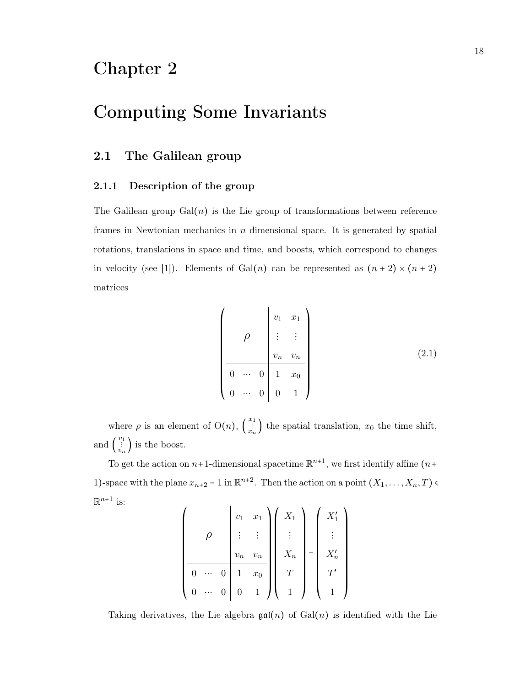## <span id="page-23-0"></span>Chapter 2

## Computing Some Invariants

### <span id="page-23-1"></span>2.1 The Galilean group

#### <span id="page-23-2"></span>2.1.1 Description of the group

The Galilean group  $Gal(n)$  is the Lie group of transformations between reference frames in Newtonian mechanics in n dimensional space. It is generated by spatial rotations, translations in space and time, and boosts, which correspond to changes in velocity (see [\[1\]](#page-48-15)). Elements of Gal(n) can be represented as  $(n+2) \times (n+2)$ matrices

<span id="page-23-3"></span>
$$
\left(\begin{array}{c|cc} & v_1 & x_1 \\ \rho & \vdots & \vdots \\ v_n & v_n \\ \hline 0 & \cdots & 0 & 1 & x_0 \\ 0 & \cdots & 0 & 0 & 1 \end{array}\right) (2.1)
$$

where  $\rho$  is an element of  $O(n)$ ,  $\left(\begin{array}{c} x_1 \\ \vdots \\ x_n \end{array}\right)$  the spatial translation,  $x_0$  the time shift, and  $\begin{pmatrix} v_1 \\ \vdots \\ v_n \end{pmatrix}$  is the boost.

To get the action on  $n+1$ -dimensional spacetime  $\mathbb{R}^{n+1}$ , we first identify affine  $(n+$ 1)-space with the plane  $x_{n+2} = 1$  in  $\mathbb{R}^{n+2}$ . Then the action on a point  $(X_1, \ldots, X_n, T)$  $\mathbb{R}^{n+1}$  is:

$$
\left(\begin{array}{c|c} & v_1 & x_1 \\ \rho & \vdots & \vdots \\ v_n & v_n \\ \hline 0 & \cdots & 0 & 1 & x_0 \\ 0 & \cdots & 0 & 0 & 1 \end{array}\right) \left(\begin{array}{c} X_1 \\ \vdots \\ X_n \\ T \\ 1 \end{array}\right) = \left(\begin{array}{c} X'_1 \\ \vdots \\ X'_n \\ T' \\ 1 \end{array}\right)
$$

Taking derivatives, the Lie algebra  $\mathfrak{gal}(n)$  of  $Gal(n)$  is identified with the Lie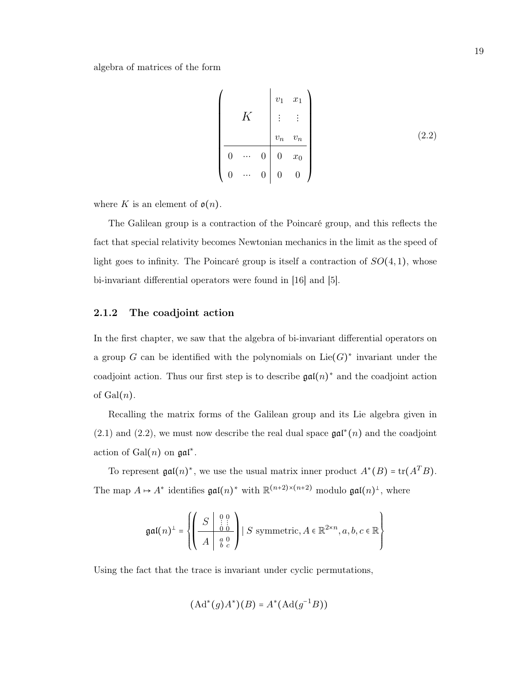algebra of matrices of the form

<span id="page-24-1"></span>
$$
\begin{pmatrix}\n & v_1 & x_1 \\
 & \vdots & \vdots \\
 & & v_n & v_n \\
\hline\n0 & \cdots & 0 & 0 & x_0 \\
0 & \cdots & 0 & 0 & 0\n\end{pmatrix}
$$
\n(2.2)

where K is an element of  $\mathfrak{o}(n)$ .

The Galilean group is a contraction of the Poincaré group, and this reflects the fact that special relativity becomes Newtonian mechanics in the limit as the speed of light goes to infinity. The Poincaré group is itself a contraction of  $SO(4,1)$ , whose bi-invariant differential operators were found in [\[16\]](#page-48-16) and [\[5\]](#page-48-17).

#### <span id="page-24-0"></span>2.1.2 The coadjoint action

In the first chapter, we saw that the algebra of bi-invariant differential operators on a group G can be identified with the polynomials on  $Lie(G)^*$  invariant under the coadjoint action. Thus our first step is to describe  $\mathfrak{gal}(n)^*$  and the coadjoint action of  $Gal(n)$ .

Recalling the matrix forms of the Galilean group and its Lie algebra given in [\(2.1\)](#page-23-3) and [\(2.2\)](#page-24-1), we must now describe the real dual space  $\mathfrak{gal}^*(n)$  and the coadjoint action of  $Gal(n)$  on  $gal^*$ .

To represent  $\mathfrak{gal}(n)^*$ , we use the usual matrix inner product  $A^*(B) = \text{tr}(A^T B)$ . The map  $A \mapsto A^*$  identifies  $\mathfrak{gal}(n)^*$  with  $\mathbb{R}^{(n+2)\times(n+2)}$  modulo  $\mathfrak{gal}(n)^{\perp}$ , where

$$
\mathfrak{gal}(n)^{\perp} = \left\{ \left( \begin{array}{c|c} S & 0 & 0 \\ \hline \hline A & 0 & 0 \\ \hline A & a & 0 \\ \end{array} \right) \mid S \text{ symmetric}, A \in \mathbb{R}^{2 \times n}, a, b, c \in \mathbb{R} \right\}
$$

Using the fact that the trace is invariant under cyclic permutations,

$$
(\mathrm{Ad}^*(g)A^*)(B) = A^*(\mathrm{Ad}(g^{-1}B))
$$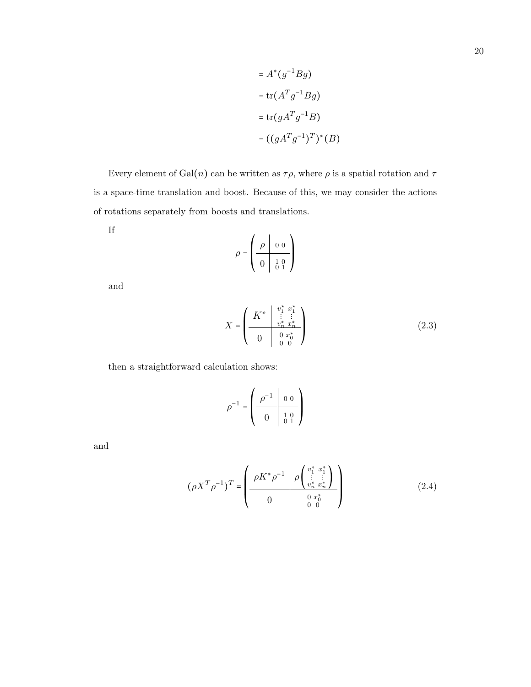$$
= A^*(g^{-1}Bg)
$$

$$
= \text{tr}(A^Tg^{-1}Bg)
$$

$$
= \text{tr}(gA^Tg^{-1}B)
$$

$$
= ((gA^Tg^{-1})^T)^*(B)
$$

Every element of  $Gal(n)$  can be written as  $\tau \rho$ , where  $\rho$  is a spatial rotation and  $\tau$ is a space-time translation and boost. Because of this, we may consider the actions of rotations separately from boosts and translations.

$$
\mathop{\rm If}\nolimits
$$

$$
\rho = \left(\begin{array}{c|cc} \rho & 0 & 0 \\ \hline 0 & 1 & 0 \\ \hline 0 & 0 & 1 \end{array}\right)
$$

and

<span id="page-25-0"></span>
$$
X = \begin{pmatrix} K^* & \stackrel{v_1^*}{\vdots} & \stackrel{x_1^*}{\vdots} \\ \frac{v_n^*}{\ddots} & \frac{v_n^*}{\ddots} & \\ 0 & 0 & x_0^* \\ 0 & 0 & 0 \end{pmatrix}
$$
 (2.3)

then a straightforward calculation shows:

<span id="page-25-1"></span>
$$
\rho^{-1} = \left(\begin{array}{c|c} \rho^{-1} & 0 & 0 \\ \hline 0 & 1 & 0 \\ \hline 0 & 0 & 1 \end{array}\right)
$$

and

$$
(\rho X^T \rho^{-1})^T = \begin{pmatrix} \rho K^* \rho^{-1} & \rho \begin{pmatrix} v_1^* & x_1^* \\ \vdots & \vdots \\ v_n^* & x_n^* \end{pmatrix} \\ 0 & 0 & v_0^* \\ 0 & 0 & 0 \end{pmatrix}
$$
 (2.4)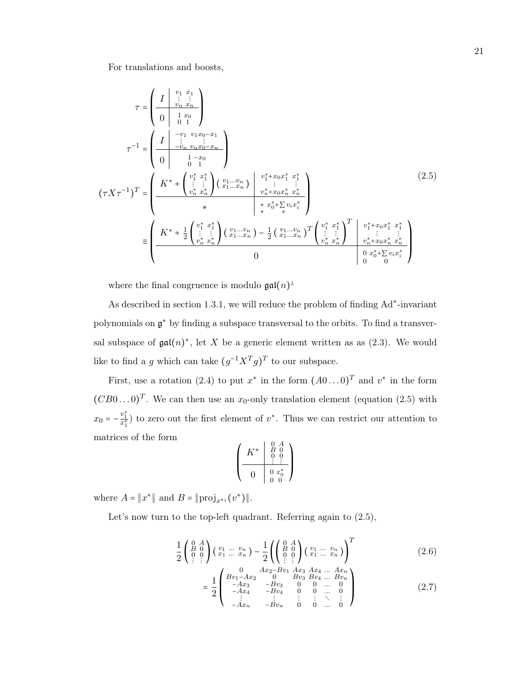<span id="page-26-0"></span>For translations and boosts,

$$
\tau = \left(\begin{array}{c} I & \begin{array}{c} v_1 & x_1 \\ \vdots & \vdots \\ v_n & x_n \end{array} \\ \tau^{-1} = \left(\begin{array}{c} I & -v_1 & v_1x_0 \\ \vdots & \vdots & \vdots \\ -v_n & v_nx_0 - x_n \\ 0 & 1 & -x_0 \end{array}\right) \\ (\tau X \tau^{-1})^T = \left(\begin{array}{c} K^* + \begin{pmatrix} v_1^* & x_1^* \\ \vdots & \vdots \\ v_n^* & x_n^* \end{pmatrix} \begin{pmatrix} v_1 \dots v_n \\ x_1 \dots x_n \end{pmatrix} & \begin{array}{c} v_1^* + x_0x_1^* & x_1^* \\ \vdots & \vdots \\ v_n^* + x_0x_n^* & x_n^* \end{array}\right) \\ \times \left(\begin{array}{c} \tau X \tau^{-1} \end{array}\right)^T = \left(\begin{array}{c} K^* + \begin{pmatrix} v_1^* & x_1^* \\ \vdots & \vdots \\ v_n^* & x_n^* \end{array}\right) \begin{pmatrix} v_1 \dots v_n \\ v_n^* + x_0x_1^* & x_1^* \\ \vdots & \vdots \\ v_n^* & x_n^* \end{pmatrix} \begin{array}{c} v_1^* & x_1^* \\ \vdots & \vdots \\ v_n^* & x_n^* \end{array}\right) \\ 0 \end{array} \right) \tag{2.5}
$$

where the final congruence is modulo  $\mathfrak{gal}(n)^{\perp}$ 

As described in section [1.3.1,](#page-18-1) we will reduce the problem of finding Ad<sup>\*</sup>-invariant polynomials on  $\mathfrak{g}^*$  by finding a subspace transversal to the orbits. To find a transversal subspace of  $\mathfrak{gal}(n)^*$ , let X be a generic element written as as  $(2.3)$ . We would like to find a g which can take  $(g^{-1}X^{T}g)^{T}$  to our subspace.

First, use a rotation [\(2.4\)](#page-25-1) to put  $x^*$  in the form  $(A0...0)^T$  and  $v^*$  in the form  $(CB0...0)^T$ . We can then use an  $x_0$ -only translation element (equation [\(2.5\)](#page-26-0) with  $x_0 = -\frac{v_1^*}{x_1^*}$  to zero out the first element of  $v^*$ . Thus we can restrict our attention to matrices of the form

<span id="page-26-1"></span>
$$
\left(\begin{array}{c|c} K^* & \begin{smallmatrix} 0 & A \\ B & 0 \\ 0 & 0 \\ \hline 0 & 0 & x_0^* \\ \hline 0 & 0 & 0 \end{smallmatrix} \end{array}\right)
$$

where  $A = ||x^*||$  and  $B = ||\text{proj}_{x^{*} \perp}(v^*)||$ .

Let's now turn to the top-left quadrant. Referring again to  $(2.5)$ ,

$$
\frac{1}{2} \begin{pmatrix} 0 & A \\ B & 0 \\ 0 & 0 \\ \vdots & \vdots \end{pmatrix} \begin{pmatrix} v_1 & \dots & v_n \\ x_1 & \dots & x_n \end{pmatrix} - \frac{1}{2} \left( \begin{pmatrix} 0 & A \\ B & 0 \\ 0 & 0 \\ \vdots & \vdots \end{pmatrix} \begin{pmatrix} v_1 & \dots & v_n \\ x_1 & \dots & x_n \end{pmatrix} \right)^T
$$
\n
$$
(2.6)
$$

$$
= \frac{1}{2} \begin{pmatrix} 0 & Ax_2 - Dv_1 & Ax_3 & Ax_4 & \dots & Ax_n \\ v_1 - Ax_2 & 0 & Bv_3 & Bv_4 & \dots & Bv_n \\ -Ax_3 & -Bv_3 & 0 & 0 & \dots & 0 \\ -Ax_4 & -Bv_4 & 0 & 0 & \dots & 0 \\ \vdots & \vdots & \vdots & \vdots & \ddots & \vdots \\ -Ax_n & -Bv_n & 0 & 0 & \dots & 0 \end{pmatrix}
$$
(2.7)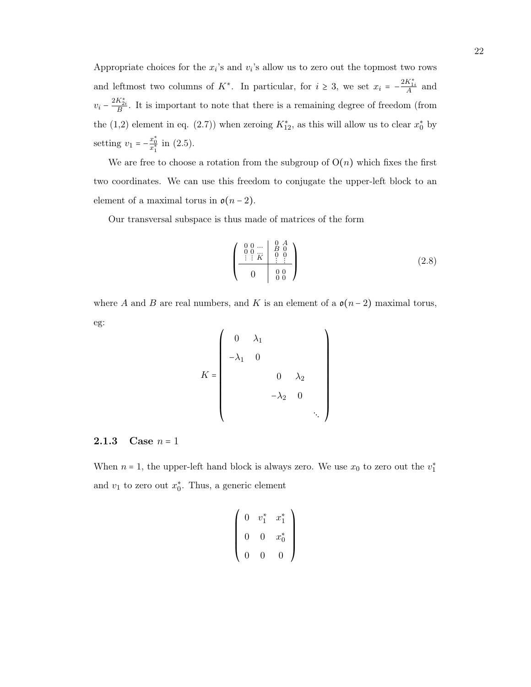Appropriate choices for the  $x_i$ 's and  $v_i$ 's allow us to zero out the topmost two rows and leftmost two columns of K<sup>\*</sup>. In particular, for  $i \geq 3$ , we set  $x_i = -\frac{2K_{1i}^*}{A}$  and  $v_i - \frac{2K_{2i}^*}{B}$ . It is important to note that there is a remaining degree of freedom (from the (1,2) element in eq. [\(2.7\)](#page-26-1)) when zeroing  $K_{12}^*$ , as this will allow us to clear  $x_0^*$  by setting  $v_1 = -\frac{x_0^*}{x_1^*}$  in [\(2.5\)](#page-26-0).

We are free to choose a rotation from the subgroup of  $O(n)$  which fixes the first two coordinates. We can use this freedom to conjugate the upper-left block to an element of a maximal torus in  $\mathfrak{o}(n-2)$ .

Our transversal subspace is thus made of matrices of the form

<span id="page-27-1"></span>
$$
\begin{pmatrix}\n0 & 0 & \dots & 0 & A \\
0 & 0 & \dots & B & 0 \\
\vdots & \vdots & K & \vdots & \vdots \\
0 & 0 & 0 & 0\n\end{pmatrix}
$$
\n(2.8)

where A and B are real numbers, and K is an element of a  $o(n-2)$  maximal torus, eg:  $\overline{I}$ 

$$
K = \begin{pmatrix} 0 & \lambda_1 \\ -\lambda_1 & 0 & & \\ & & 0 & \lambda_2 \\ & & & -\lambda_2 & 0 \\ & & & & \ddots \end{pmatrix}
$$

#### <span id="page-27-0"></span>**2.1.3** Case  $n = 1$

When  $n = 1$ , the upper-left hand block is always zero. We use  $x_0$  to zero out the  $v_1^*$ and  $v_1$  to zero out  $x_0^*$ . Thus, a generic element

$$
\left(\begin{array}{ccc} 0 & v_1^* & x_1^* \\ 0 & 0 & x_0^* \\ 0 & 0 & 0 \end{array}\right)
$$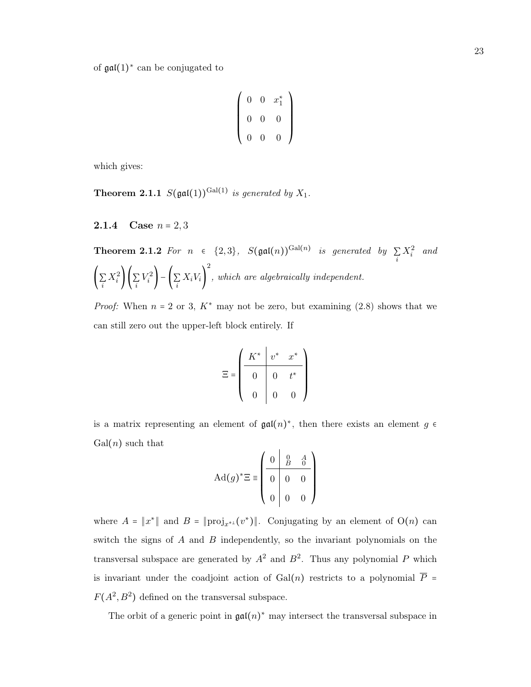of  $\mathfrak{gal}(1)^*$  can be conjugated to

$$
\left(\begin{array}{cccc} 0 & 0 & x_1^* \\ 0 & 0 & 0 \\ 0 & 0 & 0 \end{array}\right)
$$

which gives:

**Theorem 2.1.1**  $S(\text{gal}(1))^{\text{Gal}(1)}$  is generated by  $X_1$ .

<span id="page-28-0"></span>**2.1.4** Case  $n = 2, 3$ 

**Theorem 2.1.2** For 
$$
n \in \{2,3\}
$$
,  $S(\text{gal}(n))^{\text{Gal}(n)}$  is generated by  $\sum_{i} X_i^2$  and  $\left(\sum_{i} X_i^2\right) \left(\sum_{i} V_i^2\right) - \left(\sum_{i} X_i V_i\right)^2$ , which are algebraically independent.

*Proof:* When  $n = 2$  or 3,  $K^*$  may not be zero, but examining [\(2.8\)](#page-27-1) shows that we can still zero out the upper-left block entirely. If

$$
\Xi = \begin{pmatrix} K^* & v^* & x^* \\ 0 & 0 & t^* \\ 0 & 0 & 0 \end{pmatrix}
$$

is a matrix representing an element of  $\mathfrak{gal}(n)^*$ , then there exists an element  $g \in$  $Gal(n)$  such that  $\sqrt{1}$ 

$$
\mathrm{Ad}(g)^{*}\Xi \equiv \begin{pmatrix} 0 & 0 & A \\ 0 & 0 & 0 \\ 0 & 0 & 0 \\ 0 & 0 & 0 \end{pmatrix}
$$

where  $A = ||x^*||$  and  $B = ||\text{proj}_{x^{*} \perp}(v^*)||$ . Conjugating by an element of  $O(n)$  can switch the signs of  $A$  and  $B$  independently, so the invariant polynomials on the transversal subspace are generated by  $A^2$  and  $B^2$ . Thus any polynomial P which is invariant under the coadjoint action of Gal(n) restricts to a polynomial  $\overline{P}$  =  $F(A^2, B^2)$  defined on the transversal subspace.

The orbit of a generic point in  $\mathfrak{gal}(n)^*$  may intersect the transversal subspace in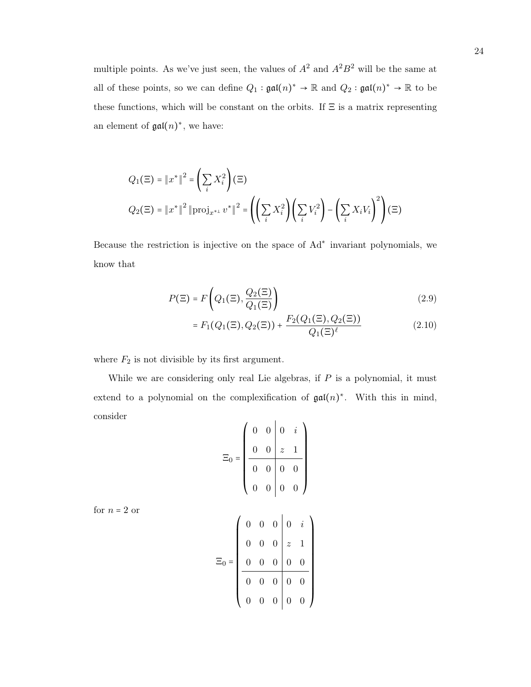multiple points. As we've just seen, the values of  $A^2$  and  $A^2B^2$  will be the same at all of these points, so we can define  $Q_1 : \mathfrak{gal}(n)^* \to \mathbb{R}$  and  $Q_2 : \mathfrak{gal}(n)^* \to \mathbb{R}$  to be these functions, which will be constant on the orbits. If  $\Xi$  is a matrix representing an element of  $\mathfrak{gal}(n)^*$ , we have:

$$
Q_1(\Xi) = \|x^*\|^2 = \left(\sum_i X_i^2\right)(\Xi)
$$
  

$$
Q_2(\Xi) = \|x^*\|^2 \|\text{proj}_{x^{*1}} v^*\|^2 = \left(\left(\sum_i X_i^2\right) \left(\sum_i V_i^2\right) - \left(\sum_i X_i V_i\right)^2\right)(\Xi)
$$

Because the restriction is injective on the space of Ad<sup>∗</sup> invariant polynomials, we know that

$$
P(\Xi) = F\left(Q_1(\Xi), \frac{Q_2(\Xi)}{Q_1(\Xi)}\right)
$$
\n(2.9)

<span id="page-29-0"></span>
$$
= F_1(Q_1(\Xi), Q_2(\Xi)) + \frac{F_2(Q_1(\Xi), Q_2(\Xi))}{Q_1(\Xi)^{\ell}} \tag{2.10}
$$

where  $F_2$  is not divisible by its first argument.

While we are considering only real Lie algebras, if  $P$  is a polynomial, it must extend to a polynomial on the complexification of  $\mathfrak{gal}(n)^*$ . With this in mind, consider  $\mathcal{L}$  $\mathbf{L}$ 

$$
\Xi_0 = \begin{pmatrix}\n0 & 0 & 0 & i \\
0 & 0 & z & 1 \\
\hline\n0 & 0 & 0 & 0 \\
0 & 0 & 0 & 0\n\end{pmatrix}
$$

for  $n=2~\mathrm{or}$ 

|         |  | $\begin{array}{ccc c} 0 & 0 & 0 & 0 & i \\ 0 & 0 & 0 & z & 1 \\ 0 & 0 & 0 & 0 & 0 \end{array}$ |  |
|---------|--|------------------------------------------------------------------------------------------------|--|
|         |  |                                                                                                |  |
| $\Xi_0$ |  |                                                                                                |  |
|         |  | $\begin{array}{c c c c c} \hline 0 & 0 & 0 & 0 & 0 \\ 0 & 0 & 0 & 0 & 0 \\ \hline \end{array}$ |  |
|         |  |                                                                                                |  |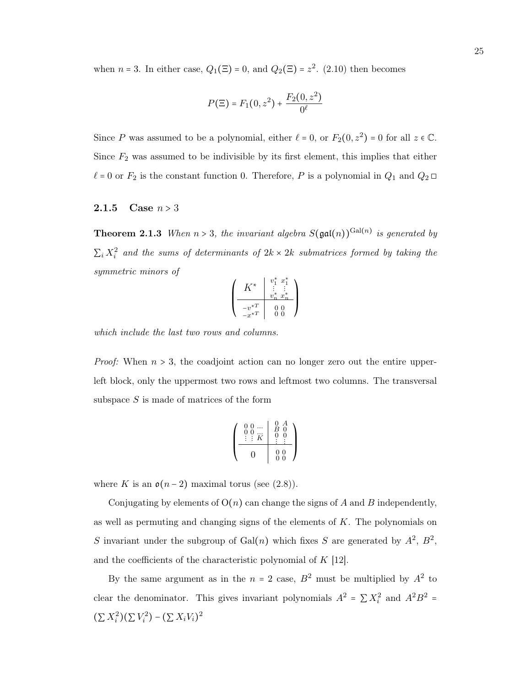when  $n = 3$ . In either case,  $Q_1(\Xi) = 0$ , and  $Q_2(\Xi) = z^2$ . [\(2.10\)](#page-29-0) then becomes

$$
P(\Xi) = F_1(0, z^2) + \frac{F_2(0, z^2)}{0^{\ell}}
$$

Since P was assumed to be a polynomial, either  $\ell = 0$ , or  $F_2(0, z^2) = 0$  for all  $z \in \mathbb{C}$ . Since  $F_2$  was assumed to be indivisible by its first element, this implies that either  $\ell = 0$  or  $F_2$  is the constant function 0. Therefore, P is a polynomial in  $Q_1$  and  $Q_2 \square$ 

#### <span id="page-30-0"></span>**2.1.5** Case  $n > 3$

**Theorem 2.1.3** When  $n > 3$ , the invariant algebra  $S(\text{gal}(n))^{Gal(n)}$  is generated by  $\sum_i X_i^2$  and the sums of determinants of  $2k \times 2k$  submatrices formed by taking the symmetric minors of

$$
\begin{pmatrix}\nK^* & v_1^* & x_1^* \\
\vdots & \vdots & \vdots \\
v_n^* & x_n^* \\
-v^{*T} & 0 & 0 \\
-x^{*T} & 0 & 0\n\end{pmatrix}
$$

which include the last two rows and columns.

*Proof:* When  $n > 3$ , the coadjoint action can no longer zero out the entire upperleft block, only the uppermost two rows and leftmost two columns. The transversal subspace  $S$  is made of matrices of the form

$$
\left(\begin{array}{cc|cc} 0 & 0 & \dots & 0 & A \\ 0 & 0 & \dots & B & 0 \\ \vdots & \vdots & K & 0 & 0 \\ \hline 0 & & 0 & 0 & 0 \\ \hline 0 & & 0 & 0 & 0 \end{array}\right)
$$

where K is an  $\mathfrak{o}(n-2)$  maximal torus (see [\(2.8\)](#page-27-1)).

Conjugating by elements of  $O(n)$  can change the signs of A and B independently, as well as permuting and changing signs of the elements of  $K$ . The polynomials on S invariant under the subgroup of Gal(n) which fixes S are generated by  $A^2$ ,  $B^2$ , and the coefficients of the characteristic polynomial of  $K$  [\[12\]](#page-48-13).

By the same argument as in the  $n = 2$  case,  $B^2$  must be multiplied by  $A^2$  to clear the denominator. This gives invariant polynomials  $A^2 = \sum X_i^2$  and  $A^2B^2 =$  $(\sum X_i^2)(\sum V_i^2) - (\sum X_i V_i)^2$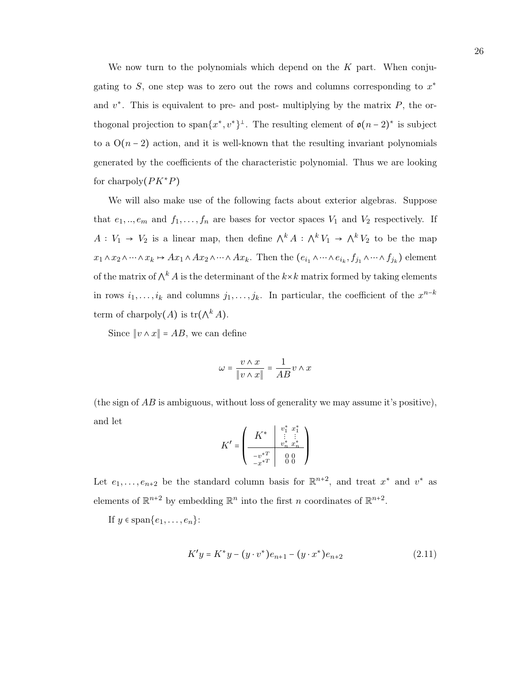We now turn to the polynomials which depend on the  $K$  part. When conjugating to  $S$ , one step was to zero out the rows and columns corresponding to  $x^*$ and  $v^*$ . This is equivalent to pre- and post- multiplying by the matrix  $P$ , the orthogonal projection to span $\{x^*, v^*\}^\perp$ . The resulting element of  $\mathfrak{o}(n-2)^*$  is subject to a  $O(n-2)$  action, and it is well-known that the resulting invariant polynomials generated by the coefficients of the characteristic polynomial. Thus we are looking for charpoly $(PK^*P)$ 

We will also make use of the following facts about exterior algebras. Suppose that  $e_1, ..., e_m$  and  $f_1, ..., f_n$  are bases for vector spaces  $V_1$  and  $V_2$  respectively. If  $A: V_1 \to V_2$  is a linear map, then define  $\wedge^k A: \wedge^k V_1 \to \wedge^k V_2$  to be the map  $x_1 \wedge x_2 \wedge \cdots \wedge x_k \mapsto Ax_1 \wedge Ax_2 \wedge \cdots \wedge Ax_k$ . Then the  $(e_{i_1} \wedge \cdots \wedge e_{i_k}, f_{j_1} \wedge \cdots \wedge f_{j_k})$  element of the matrix of  $\wedge^k A$  is the determinant of the  $k \times k$  matrix formed by taking elements in rows  $i_1, \ldots, i_k$  and columns  $j_1, \ldots, j_k$ . In particular, the coefficient of the  $x^{n-k}$ term of charpoly $(A)$  is  $\text{tr}(\wedge^k A)$ .

Since  $||v \wedge x|| = AB$ , we can define

$$
\omega = \frac{v \wedge x}{\|v \wedge x\|} = \frac{1}{AB}v \wedge x
$$

(the sign of  $\overline{AB}$  is ambiguous, without loss of generality we may assume it's positive), and let ∗ ∗

$$
K' = \begin{pmatrix} K^* & \begin{array}{c} v_1^* & x_1^* \\ \vdots & \vdots \\ v_n^* & x_n^* \end{array} \\ \begin{array}{c} -v^{*T} \\ -x^{*T} \end{array} & 0 & 0 \\ 0 & 0 \end{pmatrix}
$$

Let  $e_1, \ldots, e_{n+2}$  be the standard column basis for  $\mathbb{R}^{n+2}$ , and treat  $x^*$  and  $v^*$  as elements of  $\mathbb{R}^{n+2}$  by embedding  $\mathbb{R}^n$  into the first n coordinates of  $\mathbb{R}^{n+2}$ .

If  $y \in \text{span}\{e_1, \ldots, e_n\}$ :

$$
K'y = K^*y - (y \cdot v^*)e_{n+1} - (y \cdot x^*)e_{n+2}
$$
\n(2.11)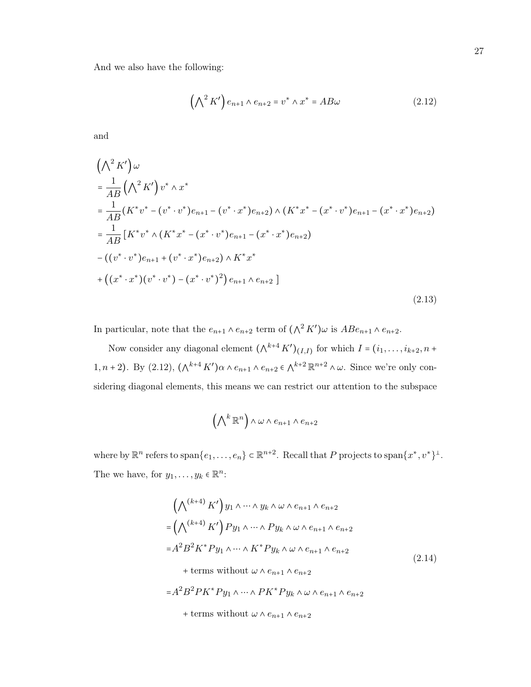And we also have the following:

<span id="page-32-0"></span>
$$
\left(\bigwedge^2 K'\right) e_{n+1} \wedge e_{n+2} = v^* \wedge x^* = AB\omega \tag{2.12}
$$

and

$$
\left(\bigwedge^{2} K'\right)\omega
$$
\n
$$
= \frac{1}{AB}\left(\bigwedge^{2} K'\right)v^{*} \wedge x^{*}
$$
\n
$$
= \frac{1}{AB}\left(K^{*}v^{*} - (v^{*} \cdot v^{*})e_{n+1} - (v^{*} \cdot x^{*})e_{n+2}\right) \wedge \left(K^{*}x^{*} - (x^{*} \cdot v^{*})e_{n+1} - (x^{*} \cdot x^{*})e_{n+2}\right)
$$
\n
$$
= \frac{1}{AB}\left[K^{*}v^{*} \wedge \left(K^{*}x^{*} - (x^{*} \cdot v^{*})e_{n+1} - (x^{*} \cdot x^{*})e_{n+2}\right) - \left((v^{*} \cdot v^{*})e_{n+1} + (v^{*} \cdot x^{*})e_{n+2}\right) \wedge K^{*}x^{*} + \left((x^{*} \cdot x^{*})(v^{*} \cdot v^{*}) - (x^{*} \cdot v^{*})^{2}\right)e_{n+1} \wedge e_{n+2}\right]
$$
\n(2.13)

In particular, note that the  $e_{n+1} \wedge e_{n+2}$  term of  $(\wedge^2 K')\omega$  is  $ABe_{n+1} \wedge e_{n+2}$ .

Now consider any diagonal element  $(\bigwedge^{k+4} K')_{(I,I)}$  for which  $I = (i_1, \ldots, i_{k+2}, n+1)$ 1, n + 2). By [\(2.12\)](#page-32-0),  $(\wedge^{k+4} K')\alpha \wedge e_{n+1} \wedge e_{n+2} \in \wedge^{k+2} \mathbb{R}^{n+2} \wedge \omega$ . Since we're only considering diagonal elements, this means we can restrict our attention to the subspace

<span id="page-32-1"></span>
$$
(\bigwedge^k \mathbb{R}^n) \wedge \omega \wedge e_{n+1} \wedge e_{n+2}
$$

where by  $\mathbb{R}^n$  refers to span $\{e_1,\ldots,e_n\} \subset \mathbb{R}^{n+2}$ . Recall that P projects to span $\{x^*,v^*\}^{\perp}$ . The we have, for  $y_1, \ldots, y_k \in \mathbb{R}^n$ :

$$
\left(\bigwedge^{(k+4)} K'\right) y_1 \wedge \cdots \wedge y_k \wedge \omega \wedge e_{n+1} \wedge e_{n+2}
$$
\n
$$
= \left(\bigwedge^{(k+4)} K'\right) Py_1 \wedge \cdots \wedge Py_k \wedge \omega \wedge e_{n+1} \wedge e_{n+2}
$$
\n
$$
= A^2 B^2 K^* Py_1 \wedge \cdots \wedge K^* Py_k \wedge \omega \wedge e_{n+1} \wedge e_{n+2}
$$
\n
$$
+ terms without \omega \wedge e_{n+1} \wedge e_{n+2}
$$
\n
$$
= A^2 B^2 P K^* Py_1 \wedge \cdots \wedge P K^* Py_k \wedge \omega \wedge e_{n+1} \wedge e_{n+2}
$$
\n
$$
(2.14)
$$

+ terms without  $\omega \wedge e_{n+1} \wedge e_{n+2}$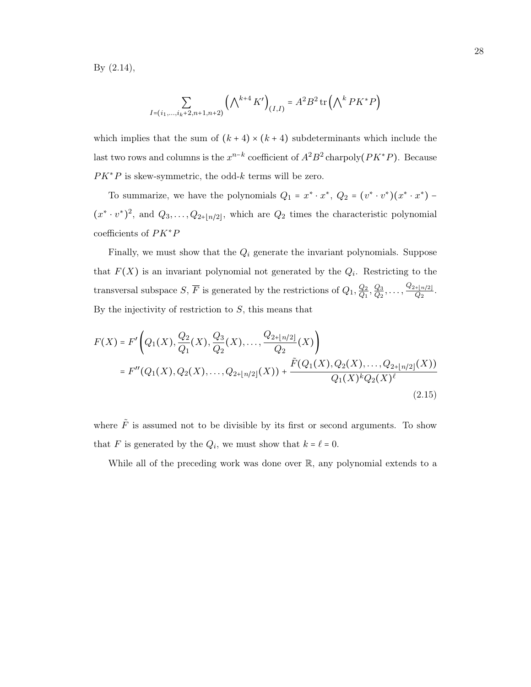By [\(2.14\)](#page-32-1),

$$
\sum_{I=(i_1,...,i_k+2,n+1,n+2)} \left(\bigwedge^{k+4} K'\right)_{(I,I)} = A^2 B^2 \operatorname{tr}\left(\bigwedge^k P K^* P\right)
$$

which implies that the sum of  $(k+4) \times (k+4)$  subdeterminants which include the last two rows and columns is the  $x^{n-k}$  coefficient of  $A^2B^2$  charpoly $(PK^*P)$ . Because  $PK*P$  is skew-symmetric, the odd-k terms will be zero.

To summarize, we have the polynomials  $Q_1 = x^* \cdot x^*$ ,  $Q_2 = (v^* \cdot v^*)(x^* \cdot x^*)$  –  $(x^* \cdot v^*)^2$ , and  $Q_3, \ldots, Q_{2+[n/2]}$ , which are  $Q_2$  times the characteristic polynomial coefficients of PK∗P

Finally, we must show that the  $Q_i$  generate the invariant polynomials. Suppose that  $F(X)$  is an invariant polynomial not generated by the  $Q_i$ . Restricting to the transversal subspace  $S, \overline{F}$  is generated by the restrictions of  $Q_1, \frac{Q_2}{Q_1}$  $\frac{Q_2}{Q_1}, \frac{Q_3}{Q_2}$  $\frac{Q_3}{Q_2},\ldots,\frac{Q_{2+ \lfloor n/2 \rfloor}}{Q_2}$  $\frac{[n/2]}{Q_2}$ . By the injectivity of restriction to  $S$ , this means that

$$
F(X) = F'\left(Q_1(X), \frac{Q_2}{Q_1}(X), \frac{Q_3}{Q_2}(X), \dots, \frac{Q_{2+|n/2|}}{Q_2}(X)\right)
$$
  
= 
$$
F''(Q_1(X), Q_2(X), \dots, Q_{2+|n/2|}(X)) + \frac{\tilde{F}(Q_1(X), Q_2(X), \dots, Q_{2+|n/2|}(X))}{Q_1(X)^k Q_2(X)^{\ell}}
$$
(2.15)

where  $\tilde{F}$  is assumed not to be divisible by its first or second arguments. To show that F is generated by the  $Q_i$ , we must show that  $k = \ell = 0$ .

<span id="page-33-0"></span>While all of the preceding work was done over R, any polynomial extends to a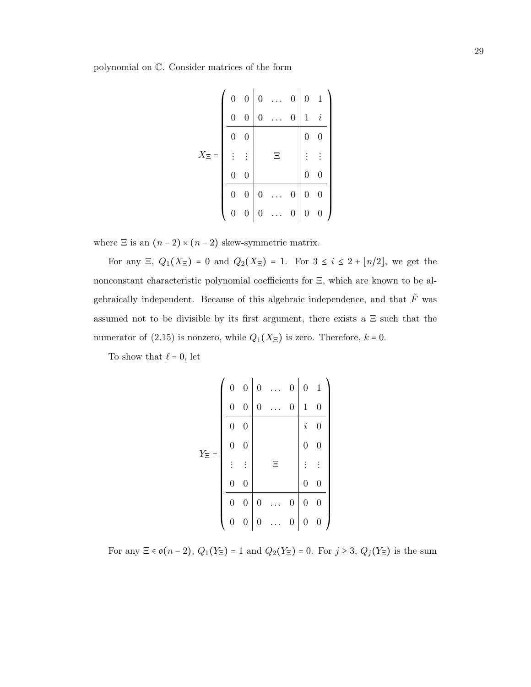polynomial on C. Consider matrices of the form

|                       |                  | $0 \quad 0 \mid 0$ |                  |       | $\overline{0}$   | $0\quad 1$       |                  |  |
|-----------------------|------------------|--------------------|------------------|-------|------------------|------------------|------------------|--|
|                       | $\overline{0}$   | $\overline{0}$     | $\boldsymbol{0}$ |       | $\boldsymbol{0}$ | $\,1$            | $\it i$          |  |
|                       | $\overline{0}$   | $\overline{0}$     |                  |       |                  | $\overline{0}$   | $\overline{0}$   |  |
| $X_{\Xi}$<br>$\equiv$ |                  | $\vdots$           |                  | $\Xi$ |                  |                  | $\vdots$         |  |
|                       | $\boldsymbol{0}$ | $\overline{0}$     |                  |       |                  | $\overline{0}$   | $\boldsymbol{0}$ |  |
|                       | $\boldsymbol{0}$ | $\boldsymbol{0}$   | $\boldsymbol{0}$ |       | $\boldsymbol{0}$ | $\boldsymbol{0}$ | $\boldsymbol{0}$ |  |
|                       | $\overline{0}$   | $\overline{0}$     | $\boldsymbol{0}$ |       | $\boldsymbol{0}$ | $\overline{0}$   | $\overline{0}$   |  |

where  $\Xi$  is an  $(n-2)\times(n-2)$  skew-symmetric matrix.

For any  $\Xi$ ,  $Q_1(X_{\Xi}) = 0$  and  $Q_2(X_{\Xi}) = 1$ . For  $3 \leq i \leq 2 + \lfloor n/2 \rfloor$ , we get the nonconstant characteristic polynomial coefficients for Ξ, which are known to be algebraically independent. Because of this algebraic independence, and that  $\tilde{F}$  was assumed not to be divisible by its first argument, there exists a  $\Xi$  such that the numerator of [\(2.15\)](#page-33-0) is nonzero, while  $Q_1(X_{\Xi})$  is zero. Therefore,  $k = 0$ .

To show that  $\ell = 0$ , let

|             | $\boldsymbol{0}$ | $\boldsymbol{0}$ | $\overline{0}$   |   | $\boldsymbol{0}$ | $\boldsymbol{0}$ | $\mathbf{1}$     |
|-------------|------------------|------------------|------------------|---|------------------|------------------|------------------|
|             | $\boldsymbol{0}$ | $\boldsymbol{0}$ | $\boldsymbol{0}$ |   | $\overline{0}$   | $\mathbf{1}$     | $\boldsymbol{0}$ |
|             | $\overline{0}$   | $\boldsymbol{0}$ |                  |   |                  | $\it i$          | $\boldsymbol{0}$ |
| $Y_{\Xi}$ = | $\boldsymbol{0}$ | $\boldsymbol{0}$ |                  |   |                  | $\boldsymbol{0}$ | $\boldsymbol{0}$ |
|             |                  | $\vdots$         |                  | Ξ |                  |                  | $\vdots$         |
|             |                  |                  |                  |   |                  |                  |                  |
|             | $\boldsymbol{0}$ | $\boldsymbol{0}$ |                  |   |                  | $\overline{0}$   | $\boldsymbol{0}$ |
|             | $\boldsymbol{0}$ | $\boldsymbol{0}$ | $\overline{0}$   |   | $\boldsymbol{0}$ | $\overline{0}$   | $\overline{0}$   |

For any  $\Xi \in \mathfrak{o}(n-2), Q_1(Y_{\Xi}) = 1$  and  $Q_2(Y_{\Xi}) = 0$ . For  $j \ge 3, Q_j(Y_{\Xi})$  is the sum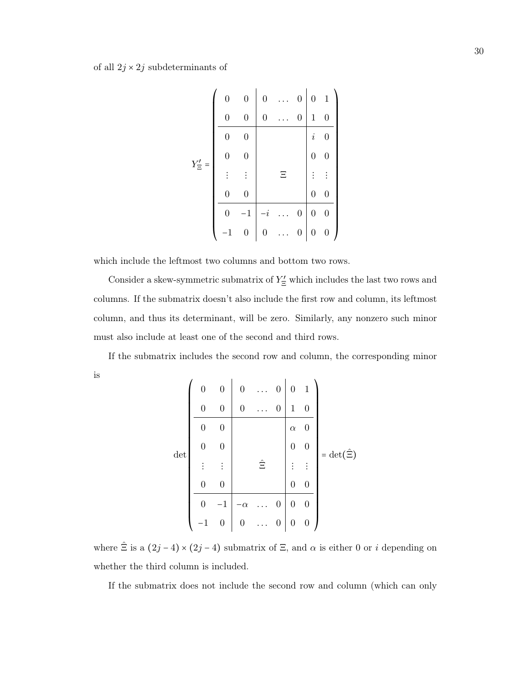|              | $\boldsymbol{0}$ | $\overline{0}$   | $\boldsymbol{0}$ |   | 0                | $\overline{0}$   | $\mathbf{1}$     |
|--------------|------------------|------------------|------------------|---|------------------|------------------|------------------|
|              | 0                | $\overline{0}$   | $\overline{0}$   |   | $\overline{0}$   | $\mathbf 1$      | $\boldsymbol{0}$ |
|              | 0                | $\overline{0}$   |                  |   |                  | $\it i$          | $\overline{0}$   |
| $Y'_{\Xi}$ = |                  | 0                |                  |   |                  | $\overline{0}$   | $\boldsymbol{0}$ |
|              |                  | $\vdots$         |                  | Ξ |                  |                  | $\vdots$         |
|              | $\overline{0}$   | $\boldsymbol{0}$ |                  |   |                  | $\overline{0}$   | $\boldsymbol{0}$ |
|              | 0                | $\mathbf{1}$     | $\dot{i}$        |   | $\boldsymbol{0}$ | $\overline{0}$   | $\overline{0}$   |
|              |                  | $\boldsymbol{0}$ | $\boldsymbol{0}$ |   | $\boldsymbol{0}$ | $\boldsymbol{0}$ | $\boldsymbol{0}$ |

which include the leftmost two columns and bottom two rows.

Consider a skew-symmetric submatrix of  $Y'_{\Xi}$  which includes the last two rows and columns. If the submatrix doesn't also include the first row and column, its leftmost column, and thus its determinant, will be zero. Similarly, any nonzero such minor must also include at least one of the second and third rows.

If the submatrix includes the second row and column, the corresponding minor is

$$
\det \begin{pmatrix}\n0 & 0 & 0 & \dots & 0 & 0 & 1 \\
0 & 0 & 0 & \dots & 0 & 1 & 0 \\
\hline\n0 & 0 & & & & \alpha & 0 \\
0 & 0 & & & & 0 & 0 \\
\vdots & \vdots & & & \hat{\Xi} & & \vdots & \vdots \\
0 & 0 & & & & 0 & 0 \\
\hline\n0 & -1 & -\alpha & \dots & 0 & 0 & 0 \\
-1 & 0 & 0 & \dots & 0 & 0 & 0\n\end{pmatrix} = \det(\hat{\Xi})
$$

where  $\hat{\Xi}$  is a  $(2j-4) \times (2j-4)$  submatrix of  $\Xi$ , and  $\alpha$  is either 0 or i depending on whether the third column is included.

If the submatrix does not include the second row and column (which can only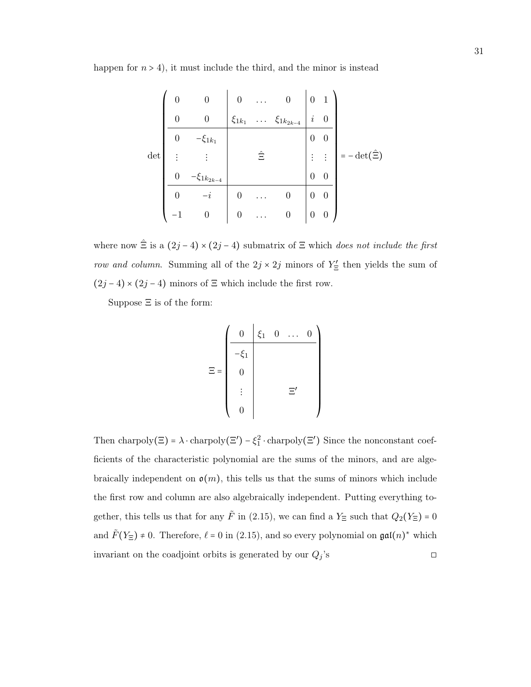happen for  $n > 4$ ), it must include the third, and the minor is instead

|        | 0                | 0                  | $\boldsymbol{0}$ | . .                  | $\overline{0}$    | $\boldsymbol{0}$ | $\mathbf{1}$ |                           |
|--------|------------------|--------------------|------------------|----------------------|-------------------|------------------|--------------|---------------------------|
|        | $\overline{0}$   | $\boldsymbol{0}$   | $\xi_{1k_1}$     | $\cdots$             | $\xi_{1k_{2k-4}}$ | $\it i$          | $\theta$     |                           |
|        | $\overline{0}$   | $-\xi_{1k_1}$      |                  |                      |                   | $\boldsymbol{0}$ | 0            |                           |
| $\det$ |                  |                    |                  | Ξ                    |                   | $\vdots$         | $\vdots$     | $-\det(\hat{\Xi})$<br>$=$ |
|        | $\boldsymbol{0}$ | $-\xi_{1k_{2k-4}}$ |                  |                      |                   | $\boldsymbol{0}$ | $\theta$     |                           |
|        | $\overline{0}$   |                    | $\boldsymbol{0}$ |                      | $\boldsymbol{0}$  | $\overline{0}$   | 0            |                           |
|        | $^{-1}$          | 0                  | $\boldsymbol{0}$ | $\ddot{\phantom{a}}$ | $\boldsymbol{0}$  | $\boldsymbol{0}$ | 0            |                           |

where now  $\hat{\Xi}$  is a  $(2j-4) \times (2j-4)$  submatrix of  $\Xi$  which does not include the first row and column. Summing all of the  $2j \times 2j$  minors of  $Y'_{\Xi}$  then yields the sum of (2*j* − 4) × (2*j* − 4) minors of  $\Xi$  which include the first row.

Suppose Ξ is of the form:

$$
\Xi = \begin{pmatrix}\n0 & \xi_1 & 0 & \dots & 0 \\
-\xi_1 & & & & \\
0 & & & & \\
0 & & & & \Xi'\n\end{pmatrix}
$$

Then charpoly( $\Xi$ ) =  $\lambda \cdot$ charpoly( $\Xi'$ )  $-\xi_1^2 \cdot$ charpoly( $\Xi'$ ) Since the nonconstant coefficients of the characteristic polynomial are the sums of the minors, and are algebraically independent on  $\mathfrak{o}(m)$ , this tells us that the sums of minors which include the first row and column are also algebraically independent. Putting everything together, this tells us that for any  $\tilde{F}$  in [\(2.15\)](#page-33-0), we can find a  $Y_{\Xi}$  such that  $Q_2(Y_{\Xi}) = 0$ and  $\tilde{F}(Y_{\Xi}) \neq 0$ . Therefore,  $\ell = 0$  in [\(2.15\)](#page-33-0), and so every polynomial on  $\mathfrak{gal}(n)^*$  which invariant on the coadjoint orbits is generated by our  $Q_j$ 's  $\square$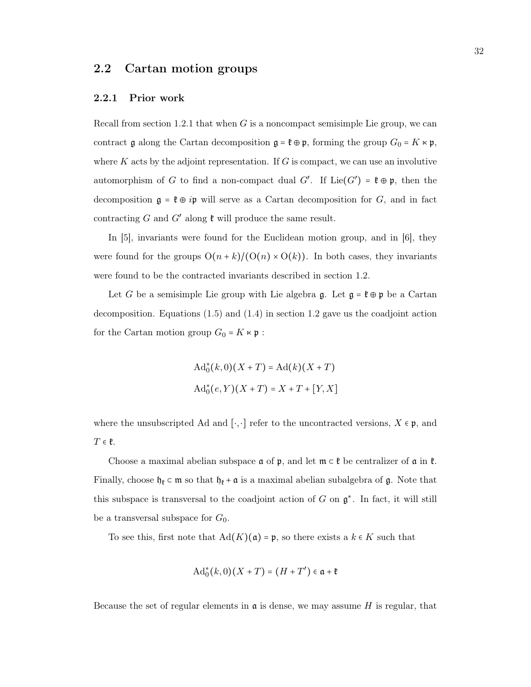### <span id="page-37-0"></span>2.2 Cartan motion groups

#### <span id="page-37-1"></span>2.2.1 Prior work

Recall from section [1.2.1](#page-16-0) that when  $G$  is a noncompact semisimple Lie group, we can contract  $\mathfrak g$  along the Cartan decomposition  $\mathfrak g = \mathfrak k \oplus \mathfrak p$ , forming the group  $G_0 = K \ltimes \mathfrak p$ , where  $K$  acts by the adjoint representation. If  $G$  is compact, we can use an involutive automorphism of G to find a non-compact dual  $G'$ . If  $Lie(G') = \mathfrak{k} \oplus \mathfrak{p}$ , then the decomposition  $\mathfrak{g} = \mathfrak{k} \oplus i\mathfrak{p}$  will serve as a Cartan decomposition for G, and in fact contracting  $G$  and  $G'$  along  $\mathfrak k$  will produce the same result.

In [\[5\]](#page-48-17), invariants were found for the Euclidean motion group, and in [\[6\]](#page-48-10), they were found for the groups  $O(n + k)/(O(n) \times O(k))$ . In both cases, they invariants were found to be the contracted invariants described in section [1.2.](#page-14-0)

Let G be a semisimple Lie group with Lie algebra  $\mathfrak{g}$ . Let  $\mathfrak{g} = \mathfrak{k} \oplus \mathfrak{p}$  be a Cartan decomposition. Equations [\(1.5\)](#page-18-2) and [\(1.4\)](#page-18-3) in section [1.2](#page-14-0) gave us the coadjoint action for the Cartan motion group  $G_0 = K \times \mathfrak{p}$ :

$$
Ad_0^*(k,0)(X+T) = Ad(k)(X+T)
$$
  

$$
Ad_0^*(e,Y)(X+T) = X+T+[Y,X]
$$

where the unsubscripted Ad and [ $\cdot$ , $\cdot$ ] refer to the uncontracted versions,  $X \in \mathfrak{p}$ , and  $T \in \mathfrak{k}.$ 

Choose a maximal abelian subspace  $\mathfrak a$  of  $\mathfrak p$ , and let  $\mathfrak m \subset \mathfrak k$  be centralizer of  $\mathfrak a$  in  $\mathfrak k$ . Finally, choose  $\mathfrak{h}_\mathfrak{k} \subset \mathfrak{m}$  so that  $\mathfrak{h}_\mathfrak{k} + \mathfrak{a}$  is a maximal abelian subalgebra of  $\mathfrak{g}$ . Note that this subspace is transversal to the coadjoint action of  $G$  on  $\mathfrak{g}^*$ . In fact, it will still be a transversal subspace for  $G_0$ .

To see this, first note that  $Ad(K)(a) = p$ , so there exists a  $k \in K$  such that

$$
\mathrm{Ad}^*_{0}(k,0)(X+T)=(H+T')\in\mathfrak{a}+\mathfrak{k}
$$

Because the set of regular elements in  $\mathfrak a$  is dense, we may assume H is regular, that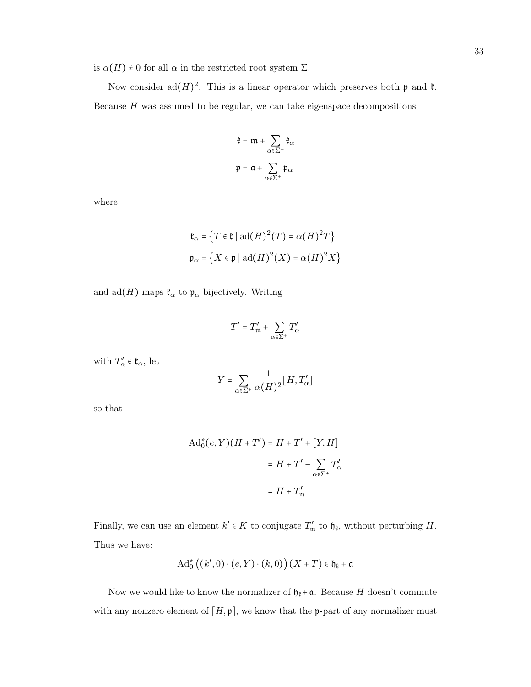is  $\alpha(H) \neq 0$  for all  $\alpha$  in the restricted root system  $\Sigma$ .

Now consider ad $(H)^2$ . This is a linear operator which preserves both  $\mathfrak p$  and  $\mathfrak k$ . Because  $H$  was assumed to be regular, we can take eigenspace decompositions

$$
\begin{aligned} \mathfrak{k} & = \mathfrak{m} + \sum_{\alpha \in \Sigma^+} \mathfrak{k}_\alpha \\ \mathfrak{p} & = \mathfrak{a} + \sum_{\alpha \in \Sigma^+} \mathfrak{p}_\alpha \end{aligned}
$$

where

$$
\mathfrak{k}_{\alpha} = \left\{ T \in \mathfrak{k} \mid \mathrm{ad}(H)^2(T) = \alpha(H)^2 T \right\}
$$
\n
$$
\mathfrak{p}_{\alpha} = \left\{ X \in \mathfrak{p} \mid \mathrm{ad}(H)^2(X) = \alpha(H)^2 X \right\}
$$

and  $\text{ad}(H)$  maps  $\mathfrak{k}_{\alpha}$  to  $\mathfrak{p}_{\alpha}$  bijectively. Writing

$$
T' = T'_{\mathfrak{m}} + \sum_{\alpha \in \Sigma^+} T'_{\alpha}
$$

with  $T'_{\alpha} \in \mathfrak{k}_{\alpha}$ , let

$$
Y = \sum_{\alpha \in \Sigma^+} \frac{1}{\alpha(H)^2} [H, T'_\alpha]
$$

so that

$$
Ad_0^*(e, Y)(H + T') = H + T' + [Y, H]
$$

$$
= H + T' - \sum_{\alpha \in \Sigma^+} T'_\alpha
$$

$$
= H + T'_m
$$

Finally, we can use an element  $k' \in K$  to conjugate  $T'_{\mathfrak{m}}$  to  $\mathfrak{h}_{\mathfrak{k}}$ , without perturbing H. Thus we have:

$$
\mathrm{Ad}^{\ast}_{0}\big(\big(k',0\big)\cdot\big(e,Y\big)\cdot\big(k,0\big)\big)\big(X+T\big)\in\mathfrak{h}_{\mathfrak{k}}+\mathfrak{a}
$$

Now we would like to know the normalizer of  $\mathfrak{h}_{\mathfrak{k}} + \mathfrak{a}$ . Because H doesn't commute with any nonzero element of  $[H, \mathfrak{p}]$ , we know that the **p**-part of any normalizer must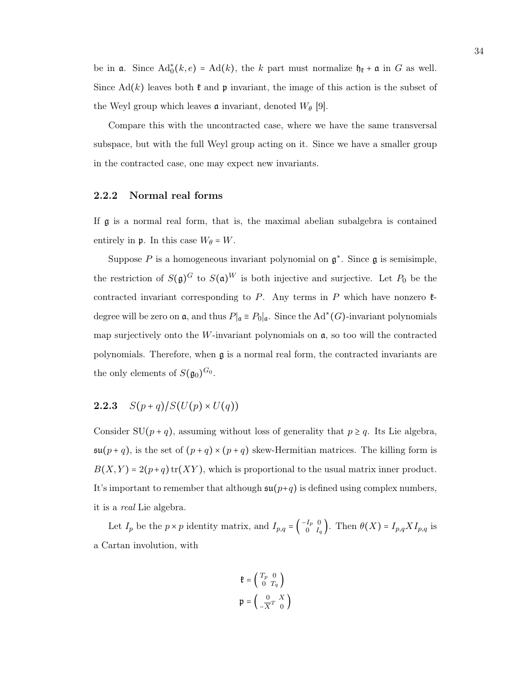be in  $\mathfrak{a}$ . Since  $\text{Ad}_{0}^{\ast}(k, e) = \text{Ad}(k)$ , the k part must normalize  $\mathfrak{h}_{\mathfrak{k}} + \mathfrak{a}$  in G as well. Since  $\text{Ad}(k)$  leaves both  $\mathfrak k$  and  $\mathfrak p$  invariant, the image of this action is the subset of the Weyl group which leaves **a** invariant, denoted  $W_{\theta}$  [\[9\]](#page-48-3).

Compare this with the uncontracted case, where we have the same transversal subspace, but with the full Weyl group acting on it. Since we have a smaller group in the contracted case, one may expect new invariants.

#### <span id="page-39-0"></span>2.2.2 Normal real forms

If g is a normal real form, that is, the maximal abelian subalgebra is contained entirely in  $\mathfrak{p}$ . In this case  $W_{\theta} = W$ .

Suppose P is a homogeneous invariant polynomial on  $\mathfrak{g}^*$ . Since  $\mathfrak{g}$  is semisimple, the restriction of  $S(\mathfrak{g})^G$  to  $S(\mathfrak{a})^W$  is both injective and surjective. Let  $P_0$  be the contracted invariant corresponding to P. Any terms in P which have nonzero  $\mathfrak{k}$ degree will be zero on  $\mathfrak{a}$ , and thus  $P|_{\mathfrak{a}} \equiv P_0|_{\mathfrak{a}}$ . Since the Ad<sup>\*</sup>(G)-invariant polynomials map surjectively onto the W-invariant polynomials on  $a$ , so too will the contracted polynomials. Therefore, when  $\mathfrak a$  is a normal real form, the contracted invariants are the only elements of  $S(\mathfrak{g}_0)^{G_0}$ .

### <span id="page-39-1"></span>**2.2.3**  $S(p+q)/S(U(p) \times U(q))$

Consider SU( $p + q$ ), assuming without loss of generality that  $p \geq q$ . Its Lie algebra,  $\mathfrak{su}(p+q)$ , is the set of  $(p+q) \times (p+q)$  skew-Hermitian matrices. The killing form is  $B(X, Y) = 2(p+q) \text{tr}(XY)$ , which is proportional to the usual matrix inner product. It's important to remember that although  $\mathfrak{su}(p+q)$  is defined using complex numbers, it is a real Lie algebra.

Let  $I_p$  be the  $p \times p$  identity matrix, and  $I_{p,q} = \begin{pmatrix} -I_p & 0 \\ 0 & I_p \end{pmatrix}$  $\begin{bmatrix}I_p&0\0&I_q\end{bmatrix}$ . Then  $\theta(X) = I_{p,q} X I_{p,q}$  is a Cartan involution, with

$$
\mathfrak{k} = \begin{pmatrix} T_p & 0 \\ 0 & T_q \end{pmatrix}
$$

$$
\mathfrak{p} = \begin{pmatrix} 0 & X \\ -\overline{X}^T & 0 \end{pmatrix}
$$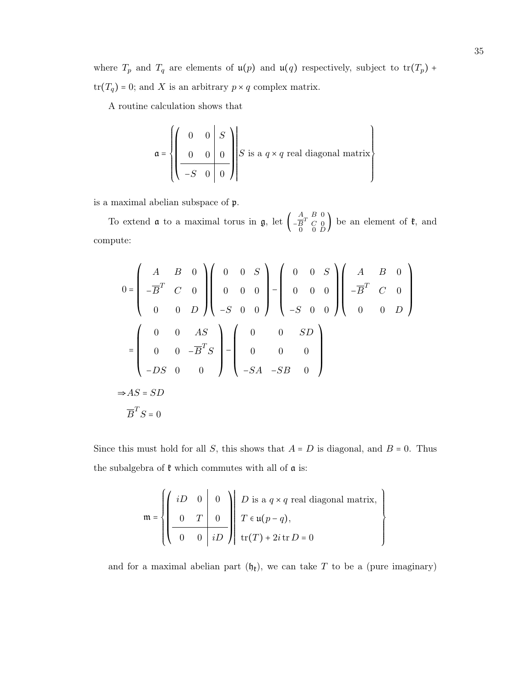where  $T_p$  and  $T_q$  are elements of  $\mathfrak{u}(p)$  and  $\mathfrak{u}(q)$  respectively, subject to  $\text{tr}(T_p)$  +  $\mathrm{tr}(T_q)=0;$  and  $X$  is an arbitrary  $p\times q$  complex matrix.

A routine calculation shows that

$$
\mathfrak{a} = \left\{ \left( \begin{array}{cc|cc} 0 & 0 & S \\ 0 & 0 & 0 \\ -S & 0 & 0 \end{array} \right) \middle| S \text{ is a } q \times q \text{ real diagonal matrix} \right\}
$$

is a maximal abelian subspace of p.

To extend  $\mathfrak a$  to a maximal torus in  $\mathfrak g$ , let  $\begin{pmatrix} A & B & 0 \\ -\overline{B}^T & C & 0 \end{pmatrix}$  $-\overline{B}^T$  C 0  $_D$  be an element of  $\mathfrak{k}$ , and compute:

$$
0 = \begin{pmatrix} A & B & 0 \\ -\overline{B}^T & C & 0 \\ 0 & 0 & D \end{pmatrix} \begin{pmatrix} 0 & 0 & S \\ 0 & 0 & 0 \\ -S & 0 & 0 \end{pmatrix} - \begin{pmatrix} 0 & 0 & S \\ 0 & 0 & 0 \\ -S & 0 & 0 \end{pmatrix} \begin{pmatrix} A & B & 0 \\ -\overline{B}^T & C & 0 \\ 0 & 0 & D \end{pmatrix}
$$

$$
= \begin{pmatrix} 0 & 0 & AS \\ 0 & 0 & -\overline{B}^T S \\ -DS & 0 & 0 \end{pmatrix} - \begin{pmatrix} 0 & 0 & SD \\ 0 & 0 & 0 \\ -SA & -SB & 0 \end{pmatrix}
$$

$$
\Rightarrow AS = SD
$$

$$
\overline{B}^T S = 0
$$

Since this must hold for all S, this shows that  $A = D$  is diagonal, and  $B = 0$ . Thus the subalgebra of  $\mathfrak k$  which commutes with all of  $\mathfrak a$  is:

$$
\mathfrak{m} = \left\{ \left( \begin{array}{ccc|ccc} iD & 0 & 0 \\ 0 & T & 0 \\ \hline 0 & 0 & iD \end{array} \right) \middle| \begin{array}{l} D \text{ is a } q \times q \text{ real diagonal matrix,} \\ T \in \mathfrak{u}(p-q), \\ \text{tr}(T) + 2i \text{ tr } D = 0 \end{array} \right.
$$

 $\begin{array}{c} \hline \end{array}$  $\left\{ \right.$  $\int$ 

and for a maximal abelian part  $(\mathfrak{h}_{\mathfrak{k}})$ , we can take T to be a (pure imaginary)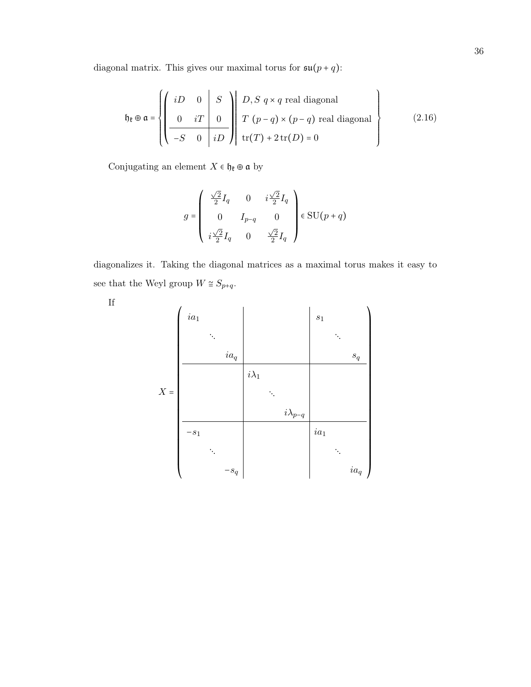diagonal matrix. This gives our maximal torus for  $\mathfrak{su}(p+q)$ :

$$
\mathfrak{h}_{\mathfrak{k}} \oplus \mathfrak{a} = \left\{ \left( \begin{array}{ccc} iD & 0 & S \\ 0 & iT & 0 \\ \hline -S & 0 & iD \end{array} \right) \middle| \begin{array}{l} D, S \neq q \text{ real diagonal} \\ T \left( p - q \right) \times \left( p - q \right) \text{ real diagonal} \\ \text{tr}(T) + 2 \text{tr}(D) = 0 \end{array} \right\} \tag{2.16}
$$

Conjugating an element  $X\in\mathfrak{h}_\mathfrak{k}\oplus\mathfrak{a}$  by

$$
g = \begin{pmatrix} \frac{\sqrt{2}}{2}I_q & 0 & i\frac{\sqrt{2}}{2}I_q \\ 0 & I_{p-q} & 0 \\ i\frac{\sqrt{2}}{2}I_q & 0 & \frac{\sqrt{2}}{2}I_q \end{pmatrix} \in \text{SU}(p+q)
$$

diagonalizes it. Taking the diagonal matrices as a maximal torus makes it easy to see that the Weyl group  $W \cong S_{p+q}.$ 

If

X = ⎛ ⎜ ⎜ ⎜ ⎜ ⎜ ⎜ ⎜ ⎜ ⎜ ⎜ ⎜ ⎜ ⎜ ⎜ ⎜ ⎜ ⎜ ⎜ ⎜ ⎜ ⎜ ⎜ ⎜ ⎜ ⎜ ⎜ ⎜ ⎜ ⎜ ⎝ ia<sup>1</sup> s<sup>1</sup> ⋱ ⋱ ia<sup>q</sup> s<sup>q</sup> iλ<sup>1</sup> ⋱ iλp−<sup>q</sup> −s<sup>1</sup> ia<sup>1</sup> ⋱ ⋱ −s<sup>q</sup> ia<sup>q</sup> ⎞ ⎟ ⎟ ⎟ ⎟ ⎟ ⎟ ⎟ ⎟ ⎟ ⎟ ⎟ ⎟ ⎟ ⎟ ⎟ ⎟ ⎟ ⎟ ⎟ ⎟ ⎟ ⎟ ⎟ ⎟ ⎟ ⎟ ⎟ ⎟ ⎟ ⎠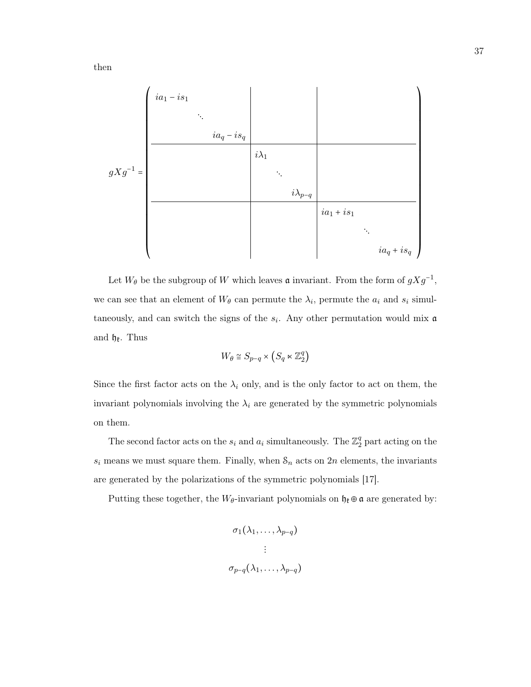

Let  $W_{\theta}$  be the subgroup of W which leaves  $\mathfrak a$  invariant. From the form of  $gXg^{-1}$ , we can see that an element of  $W_{\theta}$  can permute the  $\lambda_i$ , permute the  $a_i$  and  $s_i$  simultaneously, and can switch the signs of the  $s_i$ . Any other permutation would mix  $\mathfrak a$ and  $\mathfrak{h}_{\mathfrak{k}}$ . Thus

$$
W_{\theta} \cong S_{p-q} \times \left( S_q \ltimes \mathbb{Z}_2^q \right)
$$

Since the first factor acts on the  $\lambda_i$  only, and is the only factor to act on them, the invariant polynomials involving the  $\lambda_i$  are generated by the symmetric polynomials on them.

The second factor acts on the  $s_i$  and  $a_i$  simultaneously. The  $\mathbb{Z}_2^q$  $\frac{q}{2}$  part acting on the  $s_i$  means we must square them. Finally, when  $\mathcal{S}_n$  acts on  $2n$  elements, the invariants are generated by the polarizations of the symmetric polynomials [\[17\]](#page-48-12).

Putting these together, the  $W_{\theta}$ -invariant polynomials on  $\mathfrak{h}_{\theta} \oplus \mathfrak{a}$  are generated by:

$$
\sigma_1(\lambda_1, \ldots, \lambda_{p-q})
$$

$$
\vdots
$$

$$
\sigma_{p-q}(\lambda_1, \ldots, \lambda_{p-q})
$$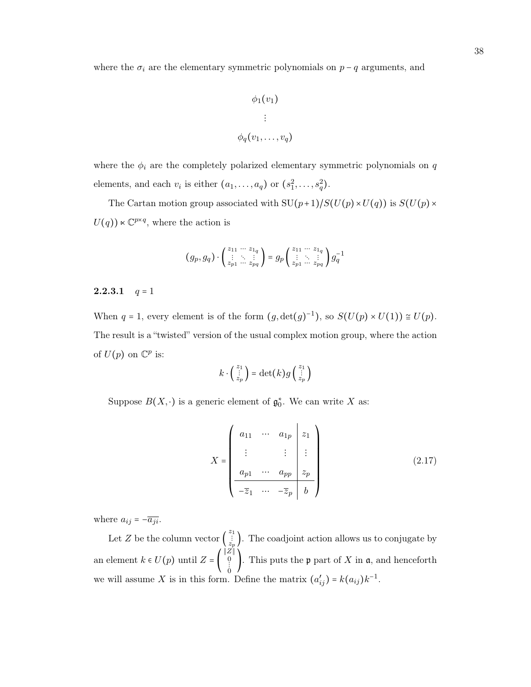where the  $\sigma_i$  are the elementary symmetric polynomials on  $p - q$  arguments, and

$$
\phi_1(v_1)
$$

$$
\vdots
$$

$$
\phi_q(v_1, \ldots, v_q)
$$

where the  $\phi_i$  are the completely polarized elementary symmetric polynomials on  $q$ elements, and each  $v_i$  is either  $(a_1, \ldots, a_q)$  or  $(s_1^2, \ldots, s_q^2)$ .

The Cartan motion group associated with  $SU(p+1)/S(U(p)\times U(q))$  is  $S(U(p)\times U(q))$  $U(q)$ )  $\ltimes \mathbb{C}^{p \times q}$ , where the action is

$$
(g_p, g_q) \cdot \begin{pmatrix} z_{11} & \cdots & z_{1q} \\ \vdots & \ddots & \vdots \\ z_{p1} & \cdots & z_{pq} \end{pmatrix} = g_p \begin{pmatrix} z_{11} & \cdots & z_{1q} \\ \vdots & \ddots & \vdots \\ z_{p1} & \cdots & z_{pq} \end{pmatrix} g_q^{-1}
$$

#### <span id="page-43-0"></span>**2.2.3.1**  $q = 1$

When  $q = 1$ , every element is of the form  $(g, \det(g)^{-1})$ , so  $S(U(p) \times U(1)) \cong U(p)$ . The result is a "twisted" version of the usual complex motion group, where the action of  $U(p)$  on  $\mathbb{C}^p$  is:

$$
k \cdot \begin{pmatrix} z_1 \\ \vdots \\ z_p \end{pmatrix} = \det(k) g \begin{pmatrix} z_1 \\ \vdots \\ z_p \end{pmatrix}
$$

Suppose  $B(X, \cdot)$  is a generic element of  $\mathfrak{g}_{0}^{*}$ . We can write X as:

<span id="page-43-1"></span>
$$
X = \begin{pmatrix} a_{11} & \cdots & a_{1p} & z_1 \\ \vdots & & \vdots & \vdots \\ a_{p1} & \cdots & a_{pp} & z_p \\ \hline -\overline{z}_1 & \cdots & -\overline{z}_p & b \end{pmatrix}
$$
 (2.17)

where  $a_{ij} = -\overline{a_{ji}}$ .

Let Z be the column vector  $\begin{pmatrix} z_1 \\ z_p \end{pmatrix}$ . The coadjoint action allows us to conjugate by an element  $k \in U(p)$  until  $Z = |$ ∥Z∥ 0 ⋮ 0 . This puts the  $\mathfrak p$  part of X in  $\mathfrak a$ , and henceforth we will assume X is in this form. Define the matrix  $(a'_{ij}) = k(a_{ij})k^{-1}$ .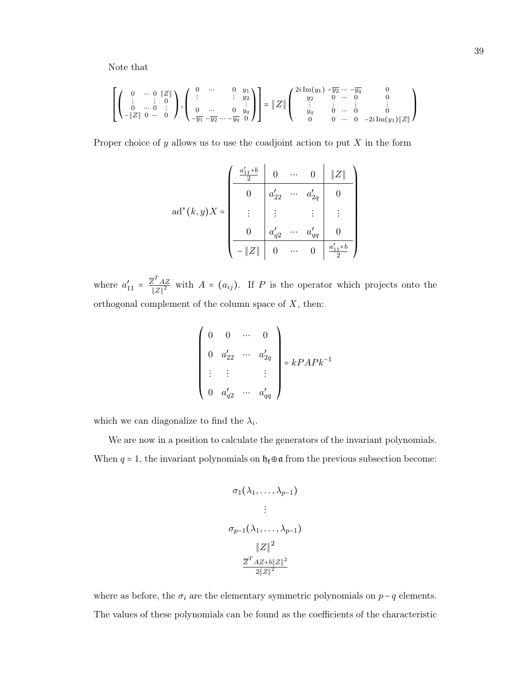Note that

$$
\left[\left(\begin{array}{cccc} 0 & \cdots & 0 & |Z| \\ \vdots & \vdots & 0 & \\ 0 & \cdots & 0 & \vdots \\ -\|Z\| & 0 & \cdots & 0 \end{array}\right), \left(\begin{array}{cccc} 0 & \cdots & 0 & y_1 \\ \vdots & & \vdots & y_2 \\ 0 & \cdots & 0 & y_q \\ -\overline{y_1} & -\overline{y_2} & \cdots & -\overline{y_q} & 0 \end{array}\right)\right] = \|Z\|\left(\begin{array}{cccc} 2i\operatorname{Im}(y_1) & -\overline{y_2} & \cdots & -\overline{y_q} & 0 \\ y_2 & 0 & \cdots & 0 & 0 \\ \vdots & \vdots & \vdots & \vdots & \vdots \\ y_q & 0 & \cdots & 0 & 0 \\ 0 & 0 & \cdots & 0 & -2i\operatorname{Im}(y_1)\|Z\| \end{array}\right)
$$

Proper choice of  $y$  allows us to use the coadjoint action to put  $X$  in the form

$$
ad^{*}(k, y)X = \begin{pmatrix} \frac{a'_{11} + b}{2} & 0 & \cdots & 0 & ||Z|| \\ 0 & a'_{22} & \cdots & a'_{2q} & 0 \\ \vdots & \vdots & & \vdots & \vdots \\ 0 & a'_{q2} & \cdots & a'_{qq} & 0 \\ -||Z|| & 0 & \cdots & 0 & \frac{a'_{11} + b}{2} \end{pmatrix}
$$

where  $a'_{11} = \frac{\overline{Z}^T A Z}{\|Z\|^2}$  $\frac{Z-AZ}{\|Z\|^2}$  with  $A = (a_{ij})$ . If P is the operator which projects onto the orthogonal complement of the column space of  $X$ , then:

$$
\begin{pmatrix}\n0 & 0 & \cdots & 0 \\
0 & a'_{22} & \cdots & a'_{2q} \\
\vdots & \vdots & & \vdots \\
0 & a'_{q2} & \cdots & a'_{qq}\n\end{pmatrix} = kPAPk^{-1}
$$

which we can diagonalize to find the  $\lambda_i$ .

We are now in a position to calculate the generators of the invariant polynomials. When  $q = 1$ , the invariant polynomials on  $\mathfrak{h}_\ell \oplus \mathfrak{a}$  from the previous subsection become:

$$
\sigma_1(\lambda_1, \ldots, \lambda_{p-1})
$$
\n
$$
\vdots
$$
\n
$$
\sigma_{p-1}(\lambda_1, \ldots, \lambda_{p-1})
$$
\n
$$
\|Z\|^2
$$
\n
$$
\frac{\overline{Z}^T A Z + b \|Z\|^2}{2\|Z\|^2}
$$

where as before, the  $\sigma_i$  are the elementary symmetric polynomials on  $p-q$  elements. The values of these polynomials can be found as the coefficients of the characteristic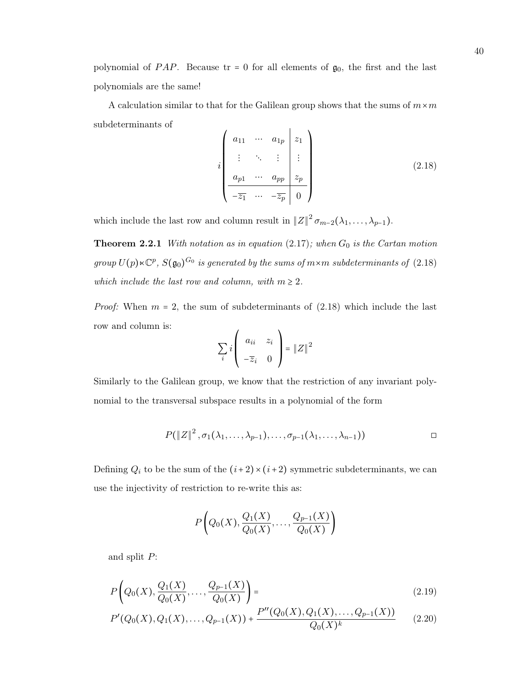polynomial of PAP. Because  $tr = 0$  for all elements of  $g_0$ , the first and the last polynomials are the same!

A calculation similar to that for the Galilean group shows that the sums of  $m \times m$ subdeterminants of

<span id="page-45-0"></span>
$$
i \begin{pmatrix} a_{11} & \cdots & a_{1p} & z_1 \\ \vdots & \ddots & \vdots & \vdots \\ a_{p1} & \cdots & a_{pp} & z_p \\ \hline -\overline{z_1} & \cdots & -\overline{z_p} & 0 \end{pmatrix}
$$
 (2.18)

which include the last row and column result in  $||Z||^2 \sigma_{m-2}(\lambda_1,\ldots,\lambda_{p-1})$ .

**Theorem 2.2.1** With notation as in equation  $(2.17)$ ; when  $G_0$  is the Cartan motion group  $U(p) \ltimes \mathbb{C}^p$ ,  $S(\mathfrak{g}_0)^{G_0}$  is generated by the sums of  $m \times m$  subdeterminants of  $(2.18)$ which include the last row and column, with  $m \geq 2$ .

*Proof:* When  $m = 2$ , the sum of subdeterminants of  $(2.18)$  which include the last row and column is:  $\overline{1}$  $\overline{ }$ 

$$
\sum_{i} i \left( \begin{array}{cc} a_{ii} & z_i \\ -\overline{z}_i & 0 \end{array} \right) = \|Z\|^2
$$

Similarly to the Galilean group, we know that the restriction of any invariant polynomial to the transversal subspace results in a polynomial of the form

$$
P(\left\|Z\right\|^2, \sigma_1(\lambda_1,\ldots,\lambda_{p-1}), \ldots, \sigma_{p-1}(\lambda_1,\ldots,\lambda_{n-1})) \qquad \qquad \Box
$$

Defining  $Q_i$  to be the sum of the  $(i+2) \times (i+2)$  symmetric subdeterminants, we can use the injectivity of restriction to re-write this as:

<span id="page-45-1"></span>
$$
P\bigg(Q_0(X),\frac{Q_1(X)}{Q_0(X)},\ldots,\frac{Q_{p-1}(X)}{Q_0(X)}\bigg)
$$

and split P:

$$
P\left(Q_0(X), \frac{Q_1(X)}{Q_0(X)}, \dots, \frac{Q_{p-1}(X)}{Q_0(X)}\right) =
$$
\n(2.19)

$$
P'(Q_0(X), Q_1(X), \dots, Q_{p-1}(X)) + \frac{P''(Q_0(X), Q_1(X), \dots, Q_{p-1}(X))}{Q_0(X)^k}
$$
 (2.20)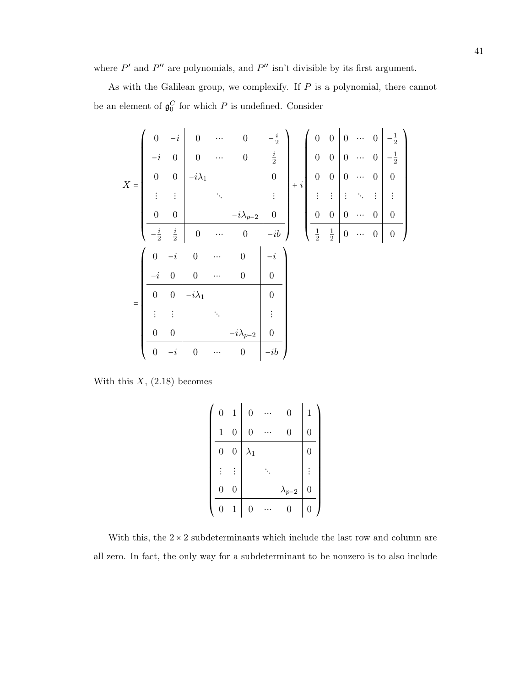where  $P'$  and  $P''$  are polynomials, and  $P''$  isn't divisible by its first argument.

As with the Galilean group, we complexify. If P is a polynomial, there cannot be an element of  $\mathfrak{g}_0^C$  for which P is undefined. Consider

|       | $\boldsymbol{0}$  | $-i$             | $\overline{0}$   |          | $\overline{0}$    | $\frac{i}{2}$      |             | $\boldsymbol{0}$ | $\boldsymbol{0}$ | $\overline{0}$   |          | $\overline{0}$   | $\frac{1}{2}$    |
|-------|-------------------|------------------|------------------|----------|-------------------|--------------------|-------------|------------------|------------------|------------------|----------|------------------|------------------|
|       | $-\boldsymbol{i}$ | $\boldsymbol{0}$ | $\overline{0}$   | .        | $\boldsymbol{0}$  | $\frac{i}{2}$      |             | $\boldsymbol{0}$ | $\boldsymbol{0}$ | $\boldsymbol{0}$ | $\cdots$ | $\overline{0}$   | $\frac{1}{2}$    |
| $X =$ | $\boldsymbol{0}$  | $\boldsymbol{0}$ | $-i\lambda_1$    |          |                   | $\overline{0}$     | $\, + \, i$ | $\overline{0}$   | $\boldsymbol{0}$ | $\overline{0}$   |          | $\boldsymbol{0}$ | $\boldsymbol{0}$ |
|       |                   | $\vdots$         |                  |          |                   |                    |             |                  | $\vdots$         | $\vdots$         |          | $\vdots$         |                  |
|       | $\boldsymbol{0}$  | $\boldsymbol{0}$ |                  |          | $-i\lambda_{p-2}$ | $\boldsymbol{0}$   |             | $\boldsymbol{0}$ | $\boldsymbol{0}$ | $\boldsymbol{0}$ |          | $\overline{0}$   | $\overline{0}$   |
|       | $-\frac{i}{2}$    | $\frac{i}{2}$    | $\boldsymbol{0}$ | $\cdots$ | $\boldsymbol{0}$  | $-i\boldsymbol{b}$ |             | $\frac{1}{2}$    | $\frac{1}{2}$    | $\boldsymbol{0}$ | $\ldots$ | $\boldsymbol{0}$ | $\boldsymbol{0}$ |
|       |                   |                  |                  |          |                   |                    |             |                  |                  |                  |          |                  |                  |
|       | $\overline{0}$    | $-i$             | $\overline{0}$   |          | $\overline{0}$    | $-\boldsymbol{i}$  |             |                  |                  |                  |          |                  |                  |
|       | $-i$              | $\boldsymbol{0}$ | $\boldsymbol{0}$ |          | $\boldsymbol{0}$  | $\overline{0}$     |             |                  |                  |                  |          |                  |                  |
|       | $\overline{0}$    | $\boldsymbol{0}$ | $-i\lambda_1$    |          |                   | $\overline{0}$     |             |                  |                  |                  |          |                  |                  |
| $=$   |                   | $\vdots$         |                  |          |                   | $\vdots$           |             |                  |                  |                  |          |                  |                  |
|       | $\boldsymbol{0}$  | $\boldsymbol{0}$ |                  |          | $-i\lambda_{p-2}$ | $\boldsymbol{0}$   |             |                  |                  |                  |          |                  |                  |

With this  $X$ ,  $(2.18)$  becomes

| $\overline{0}$   | $\mathbf{1}$     | $\boldsymbol{0}$ | 0               | 1 |
|------------------|------------------|------------------|-----------------|---|
| $\,1$            | $\overline{0}$   | 0                | 0               |   |
| $\boldsymbol{0}$ | $\boldsymbol{0}$ | $\lambda_1$      |                 |   |
|                  |                  |                  |                 |   |
| 0                | 0                |                  | $\lambda_{p-2}$ |   |
|                  | 1                | 0                | (               | 0 |

With this, the  $2 \times 2$  subdeterminants which include the last row and column are all zero. In fact, the only way for a subdeterminant to be nonzero is to also include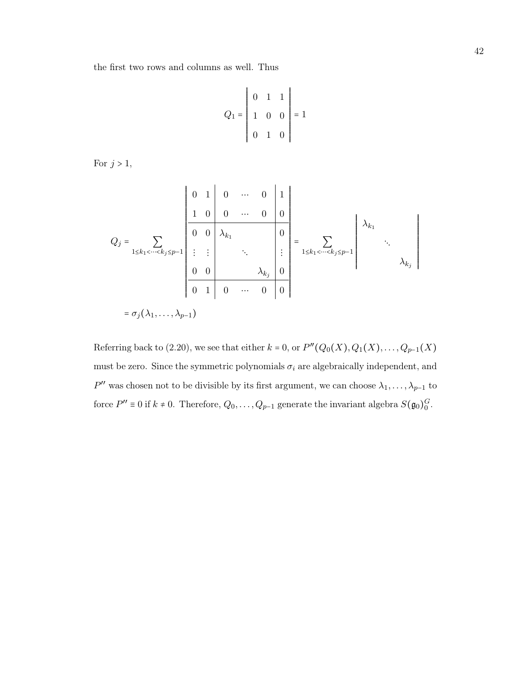the first two rows and columns as well. Thus

$$
Q_1 = \begin{vmatrix} 0 & 1 & 1 \\ 1 & 0 & 0 \\ 0 & 1 & 0 \end{vmatrix} = 1
$$

For  $j > 1$ ,

$$
Q_{j} = \sum_{1 \leq k_{1} < \dots < k_{j} \leq p-1} \left| \begin{array}{cccc|c} 0 & 1 & 0 & \cdots & 0 & 1 \\ 1 & 0 & 0 & \cdots & 0 & 0 \\ \hline 0 & 0 & \lambda_{k_{1}} & & 0 & \\ \vdots & \vdots & & \ddots & \vdots \\ 0 & 0 & & & \lambda_{k_{j}} & 0 \\ \hline 0 & 1 & 0 & \cdots & 0 & 0 \end{array} \right| = \sum_{1 \leq k_{1} < \dots < k_{j} \leq p-1} \left| \begin{array}{c} \lambda_{k_{1}} & & \\ \lambda_{k_{1}} & & \\ & \ddots & \\ \lambda_{k_{j}} & 0 \end{array} \right|
$$

Referring back to [\(2.20\)](#page-45-1), we see that either  $k = 0$ , or  $P''(Q_0(X), Q_1(X), \ldots, Q_{p-1}(X))$ must be zero. Since the symmetric polynomials  $\sigma_i$  are algebraically independent, and  $P''$  was chosen not to be divisible by its first argument, we can choose  $\lambda_1, \ldots, \lambda_{p-1}$  to force  $P'' \equiv 0$  if  $k \neq 0$ . Therefore,  $Q_0, \ldots, Q_{p-1}$  generate the invariant algebra  $S(\mathfrak{g}_0)_0^G$ .